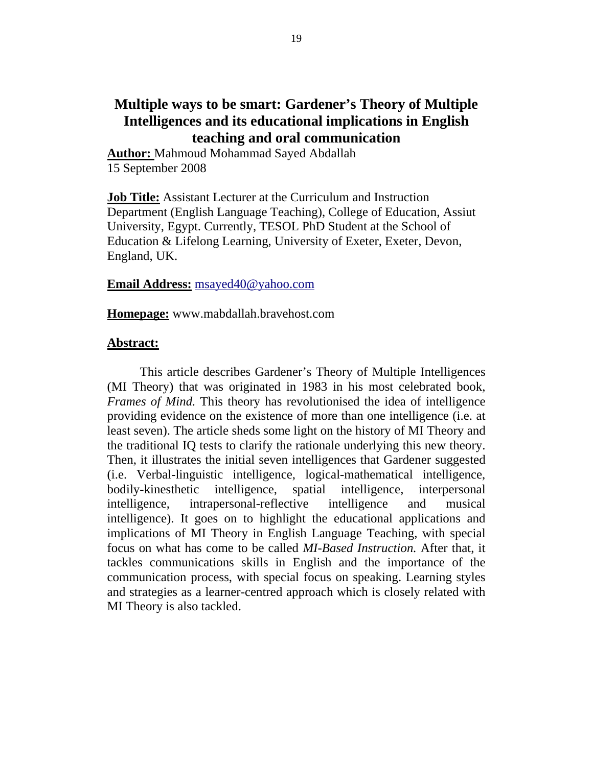# **Multiple ways to be smart: Gardener's Theory of Multiple Intelligences and its educational implications in English teaching and oral communication**

**Author:** Mahmoud Mohammad Sayed Abdallah 15 September 2008

**Job Title:** Assistant Lecturer at the Curriculum and Instruction Department (English Language Teaching), College of Education, Assiut University, Egypt. Currently, TESOL PhD Student at the School of Education & Lifelong Learning, University of Exeter, Exeter, Devon, England, UK.

## **Email Address:** msayed40@yahoo.com

**Homepage:** www.mabdallah.bravehost.com

#### **Abstract:**

This article describes Gardener's Theory of Multiple Intelligences (MI Theory) that was originated in 1983 in his most celebrated book, *Frames of Mind.* This theory has revolutionised the idea of intelligence providing evidence on the existence of more than one intelligence (i.e. at least seven). The article sheds some light on the history of MI Theory and the traditional IQ tests to clarify the rationale underlying this new theory. Then, it illustrates the initial seven intelligences that Gardener suggested (i.e. Verbal-linguistic intelligence, logical-mathematical intelligence, bodily-kinesthetic intelligence, spatial intelligence, interpersonal intelligence, intrapersonal-reflective intelligence and musical intelligence). It goes on to highlight the educational applications and implications of MI Theory in English Language Teaching, with special focus on what has come to be called *MI-Based Instruction.* After that, it tackles communications skills in English and the importance of the communication process, with special focus on speaking. Learning styles and strategies as a learner-centred approach which is closely related with MI Theory is also tackled.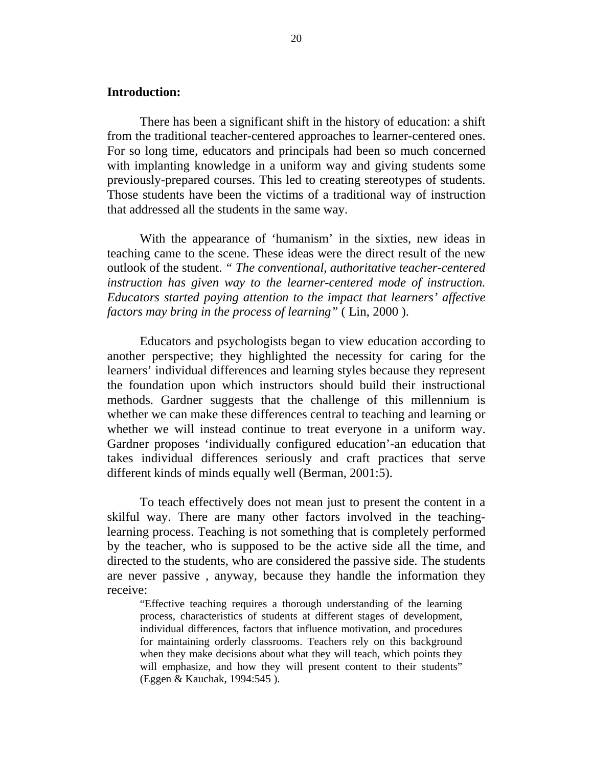## **Introduction:**

There has been a significant shift in the history of education: a shift from the traditional teacher-centered approaches to learner-centered ones. For so long time, educators and principals had been so much concerned with implanting knowledge in a uniform way and giving students some previously-prepared courses. This led to creating stereotypes of students. Those students have been the victims of a traditional way of instruction that addressed all the students in the same way.

With the appearance of 'humanism' in the sixties, new ideas in teaching came to the scene. These ideas were the direct result of the new outlook of the student. *" The conventional, authoritative teacher-centered instruction has given way to the learner-centered mode of instruction. Educators started paying attention to the impact that learners' affective factors may bring in the process of learning"* ( Lin, 2000 ).

Educators and psychologists began to view education according to another perspective; they highlighted the necessity for caring for the learners' individual differences and learning styles because they represent the foundation upon which instructors should build their instructional methods. Gardner suggests that the challenge of this millennium is whether we can make these differences central to teaching and learning or whether we will instead continue to treat everyone in a uniform way. Gardner proposes 'individually configured education'-an education that takes individual differences seriously and craft practices that serve different kinds of minds equally well (Berman, 2001:5).

To teach effectively does not mean just to present the content in a skilful way. There are many other factors involved in the teachinglearning process. Teaching is not something that is completely performed by the teacher, who is supposed to be the active side all the time, and directed to the students, who are considered the passive side. The students are never passive , anyway, because they handle the information they receive:

"Effective teaching requires a thorough understanding of the learning process, characteristics of students at different stages of development, individual differences, factors that influence motivation, and procedures for maintaining orderly classrooms. Teachers rely on this background when they make decisions about what they will teach, which points they will emphasize, and how they will present content to their students" (Eggen & Kauchak, 1994:545 ).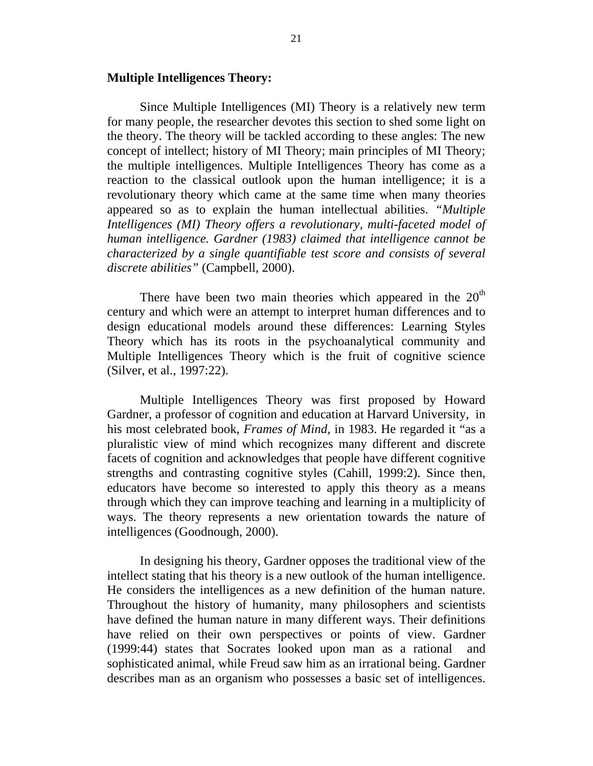#### **Multiple Intelligences Theory:**

Since Multiple Intelligences (MI) Theory is a relatively new term for many people, the researcher devotes this section to shed some light on the theory. The theory will be tackled according to these angles: The new concept of intellect; history of MI Theory; main principles of MI Theory; the multiple intelligences. Multiple Intelligences Theory has come as a reaction to the classical outlook upon the human intelligence; it is a revolutionary theory which came at the same time when many theories appeared so as to explain the human intellectual abilities. *"Multiple Intelligences (MI) Theory offers a revolutionary, multi-faceted model of human intelligence. Gardner (1983) claimed that intelligence cannot be characterized by a single quantifiable test score and consists of several discrete abilities"* (Campbell, 2000).

There have been two main theories which appeared in the  $20<sup>th</sup>$ century and which were an attempt to interpret human differences and to design educational models around these differences: Learning Styles Theory which has its roots in the psychoanalytical community and Multiple Intelligences Theory which is the fruit of cognitive science (Silver, et al., 1997:22).

Multiple Intelligences Theory was first proposed by Howard Gardner, a professor of cognition and education at Harvard University, in his most celebrated book, *Frames of Mind,* in 1983. He regarded it "as a pluralistic view of mind which recognizes many different and discrete facets of cognition and acknowledges that people have different cognitive strengths and contrasting cognitive styles (Cahill, 1999:2). Since then, educators have become so interested to apply this theory as a means through which they can improve teaching and learning in a multiplicity of ways. The theory represents a new orientation towards the nature of intelligences (Goodnough, 2000).

In designing his theory, Gardner opposes the traditional view of the intellect stating that his theory is a new outlook of the human intelligence. He considers the intelligences as a new definition of the human nature. Throughout the history of humanity, many philosophers and scientists have defined the human nature in many different ways. Their definitions have relied on their own perspectives or points of view. Gardner (1999:44) states that Socrates looked upon man as a rational and sophisticated animal, while Freud saw him as an irrational being. Gardner describes man as an organism who possesses a basic set of intelligences.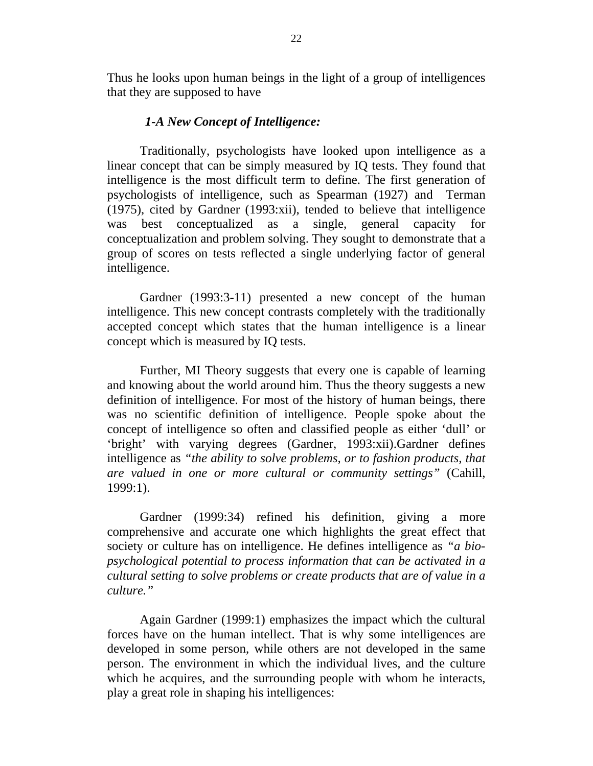Thus he looks upon human beings in the light of a group of intelligences that they are supposed to have

### *1-A New Concept of Intelligence:*

Traditionally, psychologists have looked upon intelligence as a linear concept that can be simply measured by IQ tests. They found that intelligence is the most difficult term to define. The first generation of psychologists of intelligence, such as Spearman (1927) and Terman (1975), cited by Gardner (1993:xii), tended to believe that intelligence was best conceptualized as a single, general capacity for conceptualization and problem solving. They sought to demonstrate that a group of scores on tests reflected a single underlying factor of general intelligence.

Gardner (1993:3-11) presented a new concept of the human intelligence. This new concept contrasts completely with the traditionally accepted concept which states that the human intelligence is a linear concept which is measured by IQ tests.

Further, MI Theory suggests that every one is capable of learning and knowing about the world around him. Thus the theory suggests a new definition of intelligence. For most of the history of human beings, there was no scientific definition of intelligence. People spoke about the concept of intelligence so often and classified people as either 'dull' or 'bright' with varying degrees (Gardner, 1993:xii).Gardner defines intelligence as *"the ability to solve problems, or to fashion products, that are valued in one or more cultural or community settings"* (Cahill, 1999:1).

Gardner (1999:34) refined his definition, giving a more comprehensive and accurate one which highlights the great effect that society or culture has on intelligence. He defines intelligence as *"a biopsychological potential to process information that can be activated in a cultural setting to solve problems or create products that are of value in a culture."*

Again Gardner (1999:1) emphasizes the impact which the cultural forces have on the human intellect. That is why some intelligences are developed in some person, while others are not developed in the same person. The environment in which the individual lives, and the culture which he acquires, and the surrounding people with whom he interacts, play a great role in shaping his intelligences: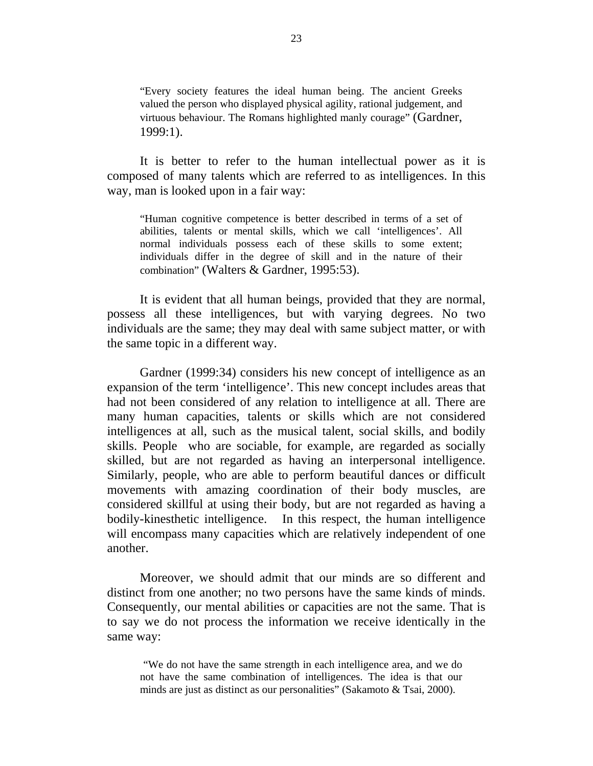"Every society features the ideal human being. The ancient Greeks valued the person who displayed physical agility, rational judgement, and virtuous behaviour. The Romans highlighted manly courage" (Gardner, 1999:1).

It is better to refer to the human intellectual power as it is composed of many talents which are referred to as intelligences. In this way, man is looked upon in a fair way:

"Human cognitive competence is better described in terms of a set of abilities, talents or mental skills, which we call 'intelligences'. All normal individuals possess each of these skills to some extent; individuals differ in the degree of skill and in the nature of their combination" (Walters & Gardner, 1995:53).

It is evident that all human beings, provided that they are normal, possess all these intelligences, but with varying degrees. No two individuals are the same; they may deal with same subject matter, or with the same topic in a different way.

Gardner (1999:34) considers his new concept of intelligence as an expansion of the term 'intelligence'. This new concept includes areas that had not been considered of any relation to intelligence at all. There are many human capacities, talents or skills which are not considered intelligences at all, such as the musical talent, social skills, and bodily skills. People who are sociable, for example, are regarded as socially skilled, but are not regarded as having an interpersonal intelligence. Similarly, people, who are able to perform beautiful dances or difficult movements with amazing coordination of their body muscles, are considered skillful at using their body, but are not regarded as having a bodily-kinesthetic intelligence. In this respect, the human intelligence will encompass many capacities which are relatively independent of one another.

Moreover, we should admit that our minds are so different and distinct from one another; no two persons have the same kinds of minds. Consequently, our mental abilities or capacities are not the same. That is to say we do not process the information we receive identically in the same way:

"We do not have the same strength in each intelligence area, and we do not have the same combination of intelligences. The idea is that our minds are just as distinct as our personalities" (Sakamoto & Tsai, 2000).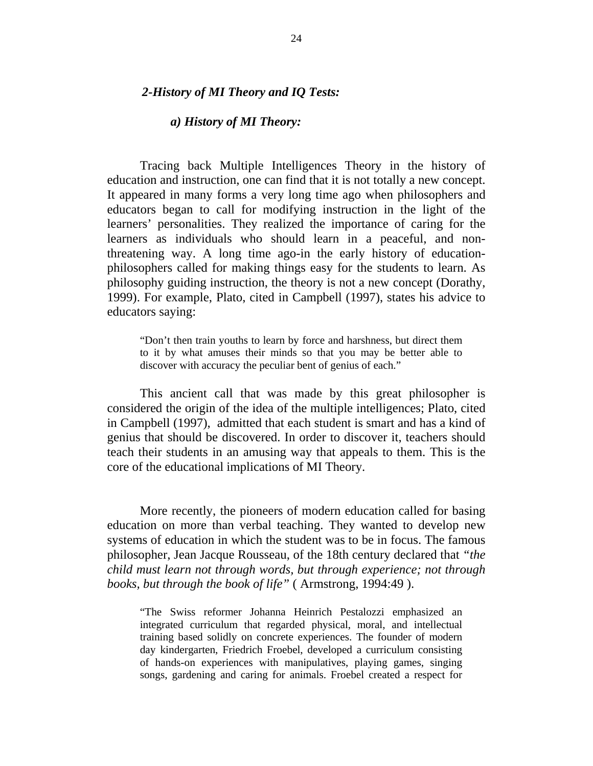## *2-History of MI Theory and IQ Tests:*

## *a) History of MI Theory:*

Tracing back Multiple Intelligences Theory in the history of education and instruction, one can find that it is not totally a new concept. It appeared in many forms a very long time ago when philosophers and educators began to call for modifying instruction in the light of the learners' personalities. They realized the importance of caring for the learners as individuals who should learn in a peaceful, and nonthreatening way. A long time ago-in the early history of educationphilosophers called for making things easy for the students to learn. As philosophy guiding instruction, the theory is not a new concept (Dorathy, 1999). For example, Plato, cited in Campbell (1997), states his advice to educators saying:

"Don't then train youths to learn by force and harshness, but direct them to it by what amuses their minds so that you may be better able to discover with accuracy the peculiar bent of genius of each."

This ancient call that was made by this great philosopher is considered the origin of the idea of the multiple intelligences; Plato, cited in Campbell (1997), admitted that each student is smart and has a kind of genius that should be discovered. In order to discover it, teachers should teach their students in an amusing way that appeals to them. This is the core of the educational implications of MI Theory.

More recently, the pioneers of modern education called for basing education on more than verbal teaching. They wanted to develop new systems of education in which the student was to be in focus. The famous philosopher, Jean Jacque Rousseau, of the 18th century declared that *"the child must learn not through words, but through experience; not through books, but through the book of life"* ( Armstrong, 1994:49 ).

"The Swiss reformer Johanna Heinrich Pestalozzi emphasized an integrated curriculum that regarded physical, moral, and intellectual training based solidly on concrete experiences. The founder of modern day kindergarten, Friedrich Froebel, developed a curriculum consisting of hands-on experiences with manipulatives, playing games, singing songs, gardening and caring for animals. Froebel created a respect for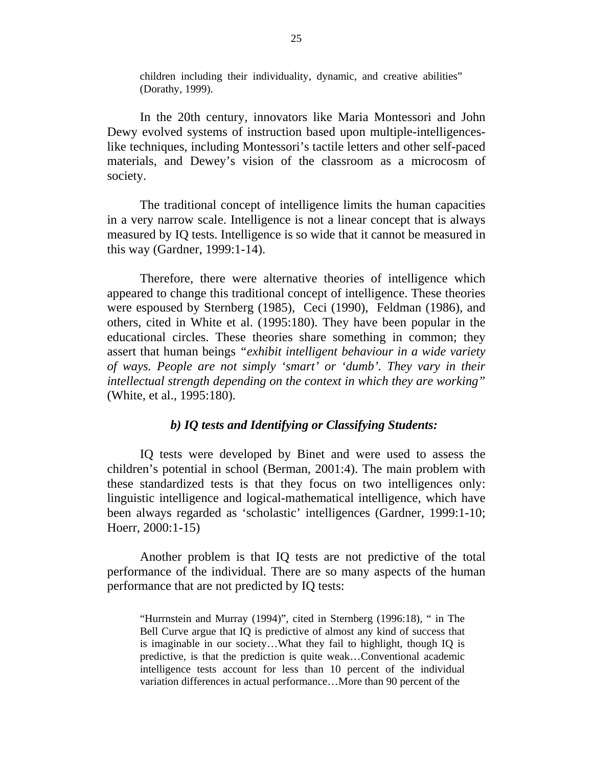children including their individuality, dynamic, and creative abilities" (Dorathy, 1999).

In the 20th century, innovators like Maria Montessori and John Dewy evolved systems of instruction based upon multiple-intelligenceslike techniques, including Montessori's tactile letters and other self-paced materials, and Dewey's vision of the classroom as a microcosm of society.

The traditional concept of intelligence limits the human capacities in a very narrow scale. Intelligence is not a linear concept that is always measured by IQ tests. Intelligence is so wide that it cannot be measured in this way (Gardner, 1999:1-14).

Therefore, there were alternative theories of intelligence which appeared to change this traditional concept of intelligence. These theories were espoused by Sternberg (1985), Ceci (1990), Feldman (1986), and others, cited in White et al. (1995:180). They have been popular in the educational circles. These theories share something in common; they assert that human beings *"exhibit intelligent behaviour in a wide variety of ways. People are not simply 'smart' or 'dumb'. They vary in their intellectual strength depending on the context in which they are working"* (White, et al., 1995:180).

## *b) IQ tests and Identifying or Classifying Students:*

IQ tests were developed by Binet and were used to assess the children's potential in school (Berman, 2001:4). The main problem with these standardized tests is that they focus on two intelligences only: linguistic intelligence and logical-mathematical intelligence, which have been always regarded as 'scholastic' intelligences (Gardner, 1999:1-10; Hoerr, 2000:1-15)

Another problem is that IQ tests are not predictive of the total performance of the individual. There are so many aspects of the human performance that are not predicted by IQ tests:

"Hurrnstein and Murray (1994)", cited in Sternberg (1996:18), " in The Bell Curve argue that IQ is predictive of almost any kind of success that is imaginable in our society…What they fail to highlight, though IQ is predictive, is that the prediction is quite weak…Conventional academic intelligence tests account for less than 10 percent of the individual variation differences in actual performance…More than 90 percent of the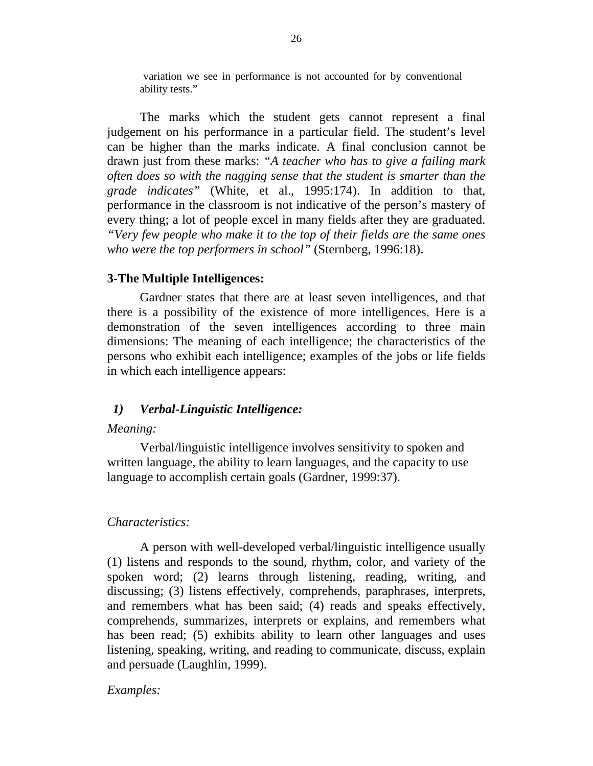variation we see in performance is not accounted for by conventional ability tests."

The marks which the student gets cannot represent a final judgement on his performance in a particular field. The student's level can be higher than the marks indicate. A final conclusion cannot be drawn just from these marks: *"A teacher who has to give a failing mark often does so with the nagging sense that the student is smarter than the grade indicates"* (White, et al., 1995:174). In addition to that, performance in the classroom is not indicative of the person's mastery of every thing; a lot of people excel in many fields after they are graduated. *"Very few people who make it to the top of their fields are the same ones who were the top performers in school"* (Sternberg, 1996:18).

## **3-The Multiple Intelligences:**

Gardner states that there are at least seven intelligences, and that there is a possibility of the existence of more intelligences. Here is a demonstration of the seven intelligences according to three main dimensions: The meaning of each intelligence; the characteristics of the persons who exhibit each intelligence; examples of the jobs or life fields in which each intelligence appears:

## *1) Verbal-Linguistic Intelligence:*

## *Meaning:*

Verbal/linguistic intelligence involves sensitivity to spoken and written language, the ability to learn languages, and the capacity to use language to accomplish certain goals (Gardner, 1999:37).

## *Characteristics:*

A person with well-developed verbal/linguistic intelligence usually (1) listens and responds to the sound, rhythm, color, and variety of the spoken word; (2) learns through listening, reading, writing, and discussing; (3) listens effectively, comprehends, paraphrases, interprets, and remembers what has been said; (4) reads and speaks effectively, comprehends, summarizes, interprets or explains, and remembers what has been read; (5) exhibits ability to learn other languages and uses listening, speaking, writing, and reading to communicate, discuss, explain and persuade (Laughlin, 1999).

## *Examples:*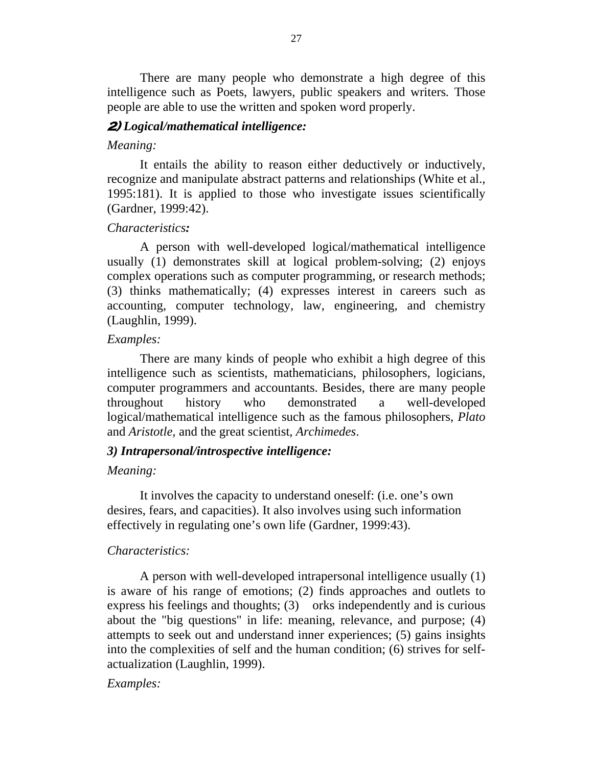There are many people who demonstrate a high degree of this intelligence such as Poets, lawyers, public speakers and writers*.* Those people are able to use the written and spoken word properly.

### **2)** *Logical/mathematical intelligence:*

#### *Meaning:*

It entails the ability to reason either deductively or inductively, recognize and manipulate abstract patterns and relationships (White et al., 1995:181). It is applied to those who investigate issues scientifically (Gardner, 1999:42).

#### *Characteristics:*

A person with well-developed logical/mathematical intelligence usually (1) demonstrates skill at logical problem-solving; (2) enjoys complex operations such as computer programming, or research methods; (3) thinks mathematically; (4) expresses interest in careers such as accounting, computer technology, law, engineering, and chemistry (Laughlin, 1999).

## *Examples:*

There are many kinds of people who exhibit a high degree of this intelligence such as scientists, mathematicians, philosophers, logicians, computer programmers and accountants. Besides, there are many people throughout history who demonstrated a well-developed logical/mathematical intelligence such as the famous philosophers, *Plato*  and *Aristotle,* and the great scientist, *Archimedes*.

#### *3) Intrapersonal/introspective intelligence:*

#### *Meaning:*

It involves the capacity to understand oneself: (i.e. one's own desires, fears, and capacities). It also involves using such information effectively in regulating one's own life (Gardner, 1999:43).

#### *Characteristics:*

A person with well-developed intrapersonal intelligence usually (1) is aware of his range of emotions; (2) finds approaches and outlets to express his feelings and thoughts; (3) orks independently and is curious about the "big questions" in life: meaning, relevance, and purpose; (4) attempts to seek out and understand inner experiences; (5) gains insights into the complexities of self and the human condition; (6) strives for selfactualization (Laughlin, 1999).

### *Examples:*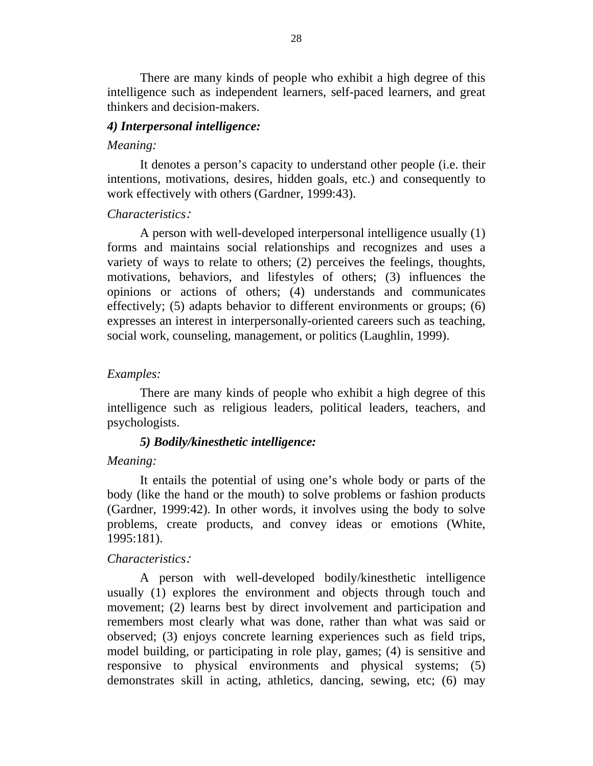There are many kinds of people who exhibit a high degree of this intelligence such as independent learners, self-paced learners, and great thinkers and decision-makers.

#### *4) Interpersonal intelligence:*

#### *Meaning:*

It denotes a person's capacity to understand other people (i.e. their intentions, motivations, desires, hidden goals, etc.) and consequently to work effectively with others (Gardner, 1999:43).

#### *Characteristics*:

A person with well-developed interpersonal intelligence usually (1) forms and maintains social relationships and recognizes and uses a variety of ways to relate to others; (2) perceives the feelings, thoughts, motivations, behaviors, and lifestyles of others; (3) influences the opinions or actions of others; (4) understands and communicates effectively; (5) adapts behavior to different environments or groups; (6) expresses an interest in interpersonally-oriented careers such as teaching, social work, counseling, management, or politics (Laughlin, 1999).

### *Examples:*

There are many kinds of people who exhibit a high degree of this intelligence such as religious leaders, political leaders, teachers, and psychologists.

## *5) Bodily/kinesthetic intelligence:*

### *Meaning:*

It entails the potential of using one's whole body or parts of the body (like the hand or the mouth) to solve problems or fashion products (Gardner, 1999:42). In other words, it involves using the body to solve problems, create products, and convey ideas or emotions (White, 1995:181).

#### *Characteristics*:

A person with well-developed bodily/kinesthetic intelligence usually (1) explores the environment and objects through touch and movement; (2) learns best by direct involvement and participation and remembers most clearly what was done, rather than what was said or observed; (3) enjoys concrete learning experiences such as field trips, model building, or participating in role play, games; (4) is sensitive and responsive to physical environments and physical systems; (5) demonstrates skill in acting, athletics, dancing, sewing, etc; (6) may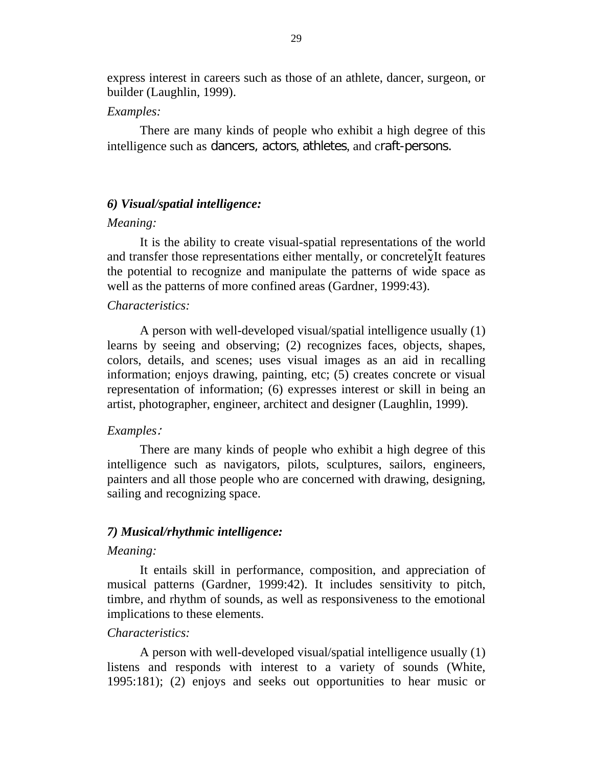express interest in careers such as those of an athlete, dancer, surgeon, or builder (Laughlin, 1999).

## *Examples:*

There are many kinds of people who exhibit a high degree of this intelligence such as dancers, actors, athletes, and craft-persons.

### *6) Visual/spatial intelligence:*

#### *Meaning:*

It is the ability to create visual-spatial representations of the world and transfer those representations either mentally, or concretely<sup>It</sup> features the potential to recognize and manipulate the patterns of wide space as well as the patterns of more confined areas (Gardner, 1999:43).

### *Characteristics:*

A person with well-developed visual/spatial intelligence usually (1) learns by seeing and observing; (2) recognizes faces, objects, shapes, colors, details, and scenes; uses visual images as an aid in recalling information; enjoys drawing, painting, etc; (5) creates concrete or visual representation of information; (6) expresses interest or skill in being an artist, photographer, engineer, architect and designer (Laughlin, 1999).

#### *Examples*:

There are many kinds of people who exhibit a high degree of this intelligence such as navigators, pilots, sculptures, sailors, engineers, painters and all those people who are concerned with drawing, designing, sailing and recognizing space.

## *7) Musical/rhythmic intelligence:*

#### *Meaning:*

It entails skill in performance, composition, and appreciation of musical patterns (Gardner, 1999:42). It includes sensitivity to pitch, timbre, and rhythm of sounds, as well as responsiveness to the emotional implications to these elements.

## *Characteristics:*

A person with well-developed visual/spatial intelligence usually (1) listens and responds with interest to a variety of sounds (White, 1995:181); (2) enjoys and seeks out opportunities to hear music or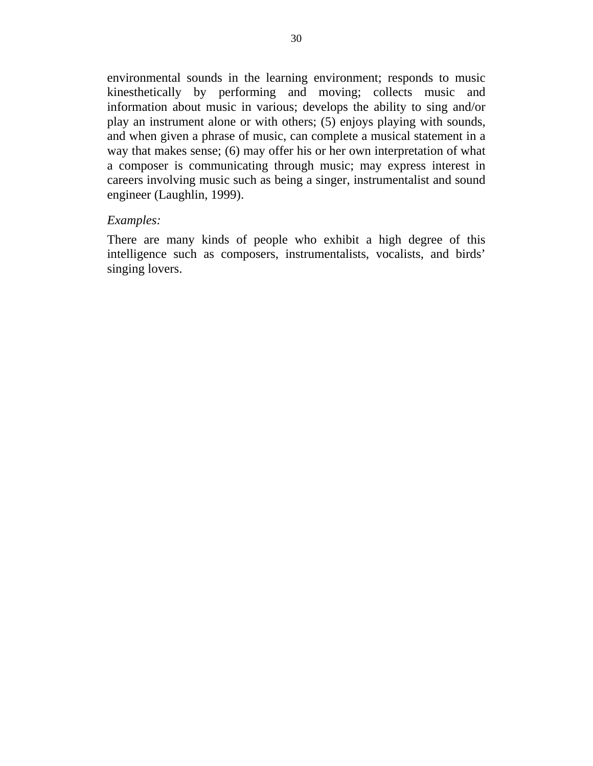environmental sounds in the learning environment; responds to music kinesthetically by performing and moving; collects music and information about music in various; develops the ability to sing and/or play an instrument alone or with others; (5) enjoys playing with sounds, and when given a phrase of music, can complete a musical statement in a way that makes sense; (6) may offer his or her own interpretation of what a composer is communicating through music; may express interest in careers involving music such as being a singer, instrumentalist and sound engineer (Laughlin, 1999).

### *Examples:*

There are many kinds of people who exhibit a high degree of this intelligence such as composers, instrumentalists, vocalists, and birds' singing lovers.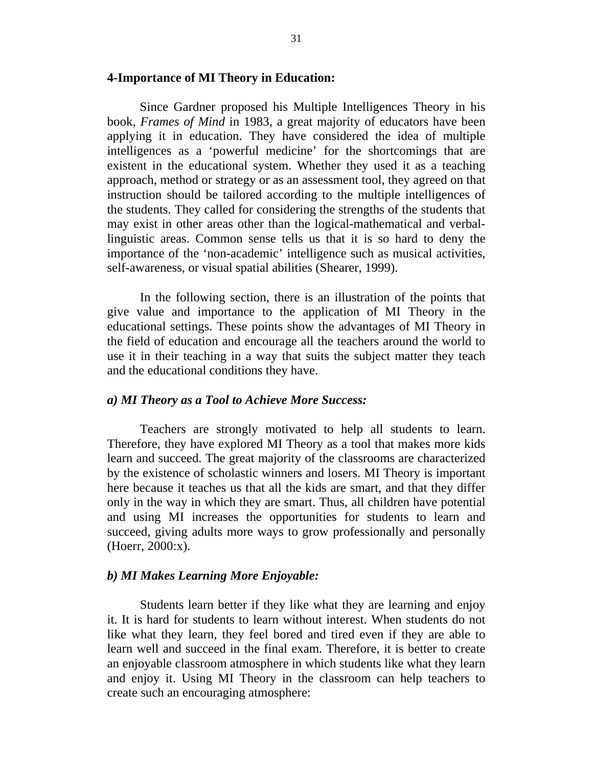#### **4-Importance of MI Theory in Education:**

Since Gardner proposed his Multiple Intelligences Theory in his book, *Frames of Mind* in 1983, a great majority of educators have been applying it in education. They have considered the idea of multiple intelligences as a 'powerful medicine' for the shortcomings that are existent in the educational system. Whether they used it as a teaching approach, method or strategy or as an assessment tool, they agreed on that instruction should be tailored according to the multiple intelligences of the students. They called for considering the strengths of the students that may exist in other areas other than the logical-mathematical and verballinguistic areas. Common sense tells us that it is so hard to deny the importance of the 'non-academic' intelligence such as musical activities, self-awareness, or visual spatial abilities (Shearer, 1999).

In the following section, there is an illustration of the points that give value and importance to the application of MI Theory in the educational settings. These points show the advantages of MI Theory in the field of education and encourage all the teachers around the world to use it in their teaching in a way that suits the subject matter they teach and the educational conditions they have.

#### *a) MI Theory as a Tool to Achieve More Success:*

Teachers are strongly motivated to help all students to learn. Therefore, they have explored MI Theory as a tool that makes more kids learn and succeed. The great majority of the classrooms are characterized by the existence of scholastic winners and losers. MI Theory is important here because it teaches us that all the kids are smart, and that they differ only in the way in which they are smart. Thus, all children have potential and using MI increases the opportunities for students to learn and succeed, giving adults more ways to grow professionally and personally (Hoerr, 2000:x).

#### *b) MI Makes Learning More Enjoyable:*

Students learn better if they like what they are learning and enjoy it. It is hard for students to learn without interest. When students do not like what they learn, they feel bored and tired even if they are able to learn well and succeed in the final exam. Therefore, it is better to create an enjoyable classroom atmosphere in which students like what they learn and enjoy it. Using MI Theory in the classroom can help teachers to create such an encouraging atmosphere: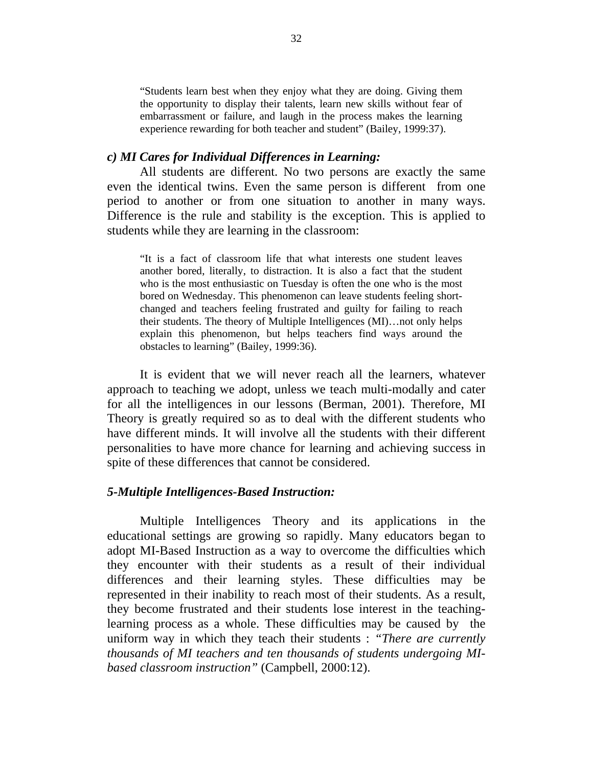"Students learn best when they enjoy what they are doing. Giving them the opportunity to display their talents, learn new skills without fear of embarrassment or failure, and laugh in the process makes the learning experience rewarding for both teacher and student" (Bailey, 1999:37).

## *c) MI Cares for Individual Differences in Learning:*

All students are different. No two persons are exactly the same even the identical twins. Even the same person is different from one period to another or from one situation to another in many ways. Difference is the rule and stability is the exception. This is applied to students while they are learning in the classroom:

"It is a fact of classroom life that what interests one student leaves another bored, literally, to distraction. It is also a fact that the student who is the most enthusiastic on Tuesday is often the one who is the most bored on Wednesday. This phenomenon can leave students feeling shortchanged and teachers feeling frustrated and guilty for failing to reach their students. The theory of Multiple Intelligences (MI)…not only helps explain this phenomenon, but helps teachers find ways around the obstacles to learning" (Bailey, 1999:36).

It is evident that we will never reach all the learners, whatever approach to teaching we adopt, unless we teach multi-modally and cater for all the intelligences in our lessons (Berman, 2001). Therefore, MI Theory is greatly required so as to deal with the different students who have different minds. It will involve all the students with their different personalities to have more chance for learning and achieving success in spite of these differences that cannot be considered.

#### *5-Multiple Intelligences-Based Instruction:*

Multiple Intelligences Theory and its applications in the educational settings are growing so rapidly. Many educators began to adopt MI-Based Instruction as a way to overcome the difficulties which they encounter with their students as a result of their individual differences and their learning styles. These difficulties may be represented in their inability to reach most of their students. As a result, they become frustrated and their students lose interest in the teachinglearning process as a whole. These difficulties may be caused by the uniform way in which they teach their students : *"There are currently thousands of MI teachers and ten thousands of students undergoing MIbased classroom instruction"* (Campbell, 2000:12).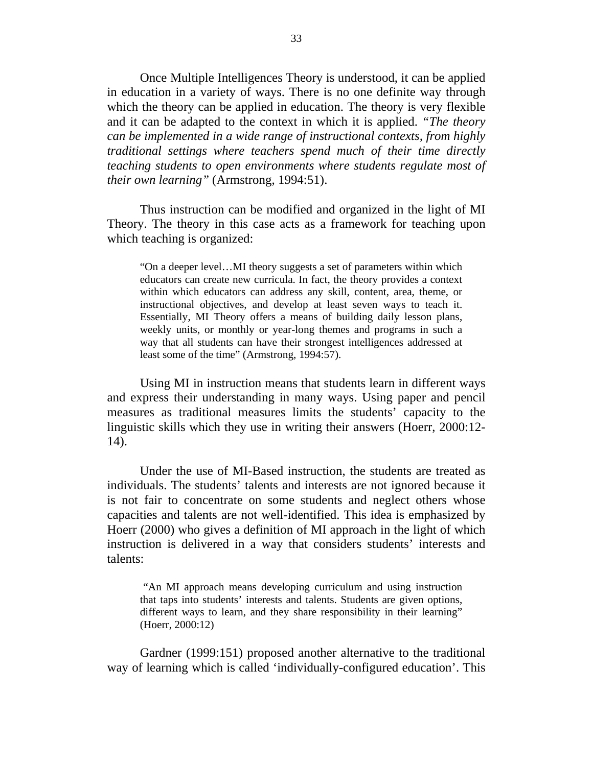Once Multiple Intelligences Theory is understood, it can be applied in education in a variety of ways. There is no one definite way through which the theory can be applied in education. The theory is very flexible and it can be adapted to the context in which it is applied. *"The theory can be implemented in a wide range of instructional contexts, from highly traditional settings where teachers spend much of their time directly teaching students to open environments where students regulate most of their own learning"* (Armstrong, 1994:51).

Thus instruction can be modified and organized in the light of MI Theory. The theory in this case acts as a framework for teaching upon which teaching is organized:

"On a deeper level…MI theory suggests a set of parameters within which educators can create new curricula. In fact, the theory provides a context within which educators can address any skill, content, area, theme, or instructional objectives, and develop at least seven ways to teach it. Essentially, MI Theory offers a means of building daily lesson plans, weekly units, or monthly or year-long themes and programs in such a way that all students can have their strongest intelligences addressed at least some of the time" (Armstrong, 1994:57).

Using MI in instruction means that students learn in different ways and express their understanding in many ways. Using paper and pencil measures as traditional measures limits the students' capacity to the linguistic skills which they use in writing their answers (Hoerr, 2000:12- 14).

Under the use of MI-Based instruction, the students are treated as individuals. The students' talents and interests are not ignored because it is not fair to concentrate on some students and neglect others whose capacities and talents are not well-identified. This idea is emphasized by Hoerr (2000) who gives a definition of MI approach in the light of which instruction is delivered in a way that considers students' interests and talents:

"An MI approach means developing curriculum and using instruction that taps into students' interests and talents. Students are given options, different ways to learn, and they share responsibility in their learning" (Hoerr, 2000:12)

Gardner (1999:151) proposed another alternative to the traditional way of learning which is called 'individually-configured education'. This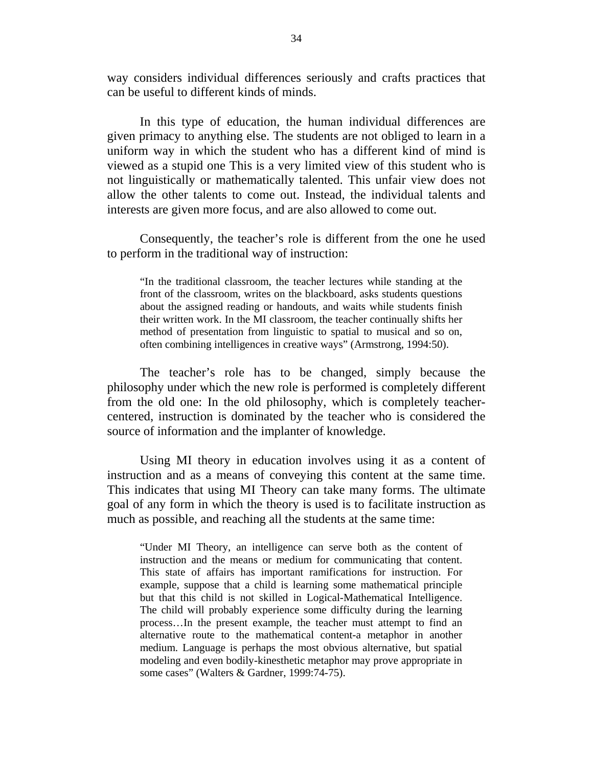way considers individual differences seriously and crafts practices that can be useful to different kinds of minds.

In this type of education, the human individual differences are given primacy to anything else. The students are not obliged to learn in a uniform way in which the student who has a different kind of mind is viewed as a stupid one This is a very limited view of this student who is not linguistically or mathematically talented. This unfair view does not allow the other talents to come out. Instead, the individual talents and interests are given more focus, and are also allowed to come out.

Consequently, the teacher's role is different from the one he used to perform in the traditional way of instruction:

"In the traditional classroom, the teacher lectures while standing at the front of the classroom, writes on the blackboard, asks students questions about the assigned reading or handouts, and waits while students finish their written work. In the MI classroom, the teacher continually shifts her method of presentation from linguistic to spatial to musical and so on, often combining intelligences in creative ways" (Armstrong, 1994:50).

The teacher's role has to be changed, simply because the philosophy under which the new role is performed is completely different from the old one: In the old philosophy, which is completely teachercentered, instruction is dominated by the teacher who is considered the source of information and the implanter of knowledge.

Using MI theory in education involves using it as a content of instruction and as a means of conveying this content at the same time. This indicates that using MI Theory can take many forms. The ultimate goal of any form in which the theory is used is to facilitate instruction as much as possible, and reaching all the students at the same time:

"Under MI Theory, an intelligence can serve both as the content of instruction and the means or medium for communicating that content. This state of affairs has important ramifications for instruction. For example, suppose that a child is learning some mathematical principle but that this child is not skilled in Logical-Mathematical Intelligence. The child will probably experience some difficulty during the learning process…In the present example, the teacher must attempt to find an alternative route to the mathematical content-a metaphor in another medium. Language is perhaps the most obvious alternative, but spatial modeling and even bodily-kinesthetic metaphor may prove appropriate in some cases" (Walters & Gardner, 1999:74-75).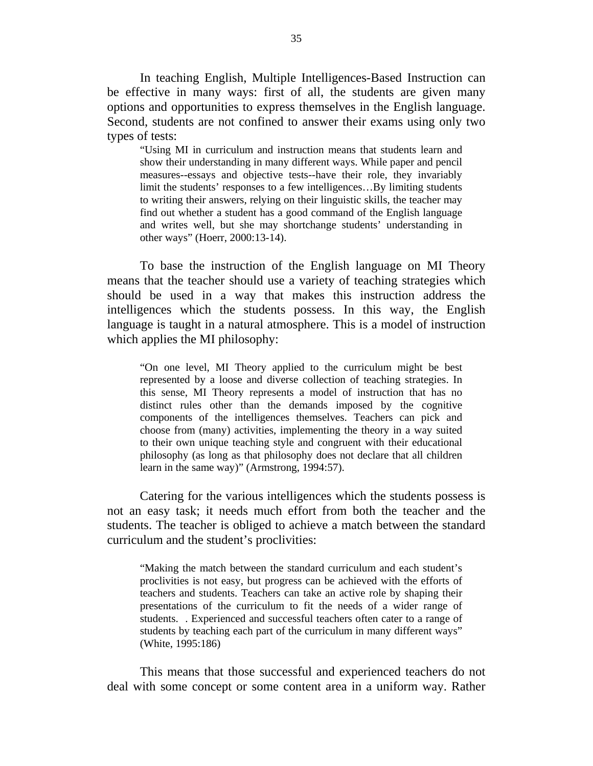In teaching English, Multiple Intelligences-Based Instruction can be effective in many ways: first of all, the students are given many options and opportunities to express themselves in the English language. Second, students are not confined to answer their exams using only two types of tests:

"Using MI in curriculum and instruction means that students learn and show their understanding in many different ways. While paper and pencil measures--essays and objective tests--have their role, they invariably limit the students' responses to a few intelligences…By limiting students to writing their answers, relying on their linguistic skills, the teacher may find out whether a student has a good command of the English language and writes well, but she may shortchange students' understanding in other ways" (Hoerr, 2000:13-14).

To base the instruction of the English language on MI Theory means that the teacher should use a variety of teaching strategies which should be used in a way that makes this instruction address the intelligences which the students possess. In this way, the English language is taught in a natural atmosphere. This is a model of instruction which applies the MI philosophy:

"On one level, MI Theory applied to the curriculum might be best represented by a loose and diverse collection of teaching strategies. In this sense, MI Theory represents a model of instruction that has no distinct rules other than the demands imposed by the cognitive components of the intelligences themselves. Teachers can pick and choose from (many) activities, implementing the theory in a way suited to their own unique teaching style and congruent with their educational philosophy (as long as that philosophy does not declare that all children learn in the same way)" (Armstrong, 1994:57).

Catering for the various intelligences which the students possess is not an easy task; it needs much effort from both the teacher and the students. The teacher is obliged to achieve a match between the standard curriculum and the student's proclivities:

"Making the match between the standard curriculum and each student's proclivities is not easy, but progress can be achieved with the efforts of teachers and students. Teachers can take an active role by shaping their presentations of the curriculum to fit the needs of a wider range of students. . Experienced and successful teachers often cater to a range of students by teaching each part of the curriculum in many different ways" (White, 1995:186)

This means that those successful and experienced teachers do not deal with some concept or some content area in a uniform way. Rather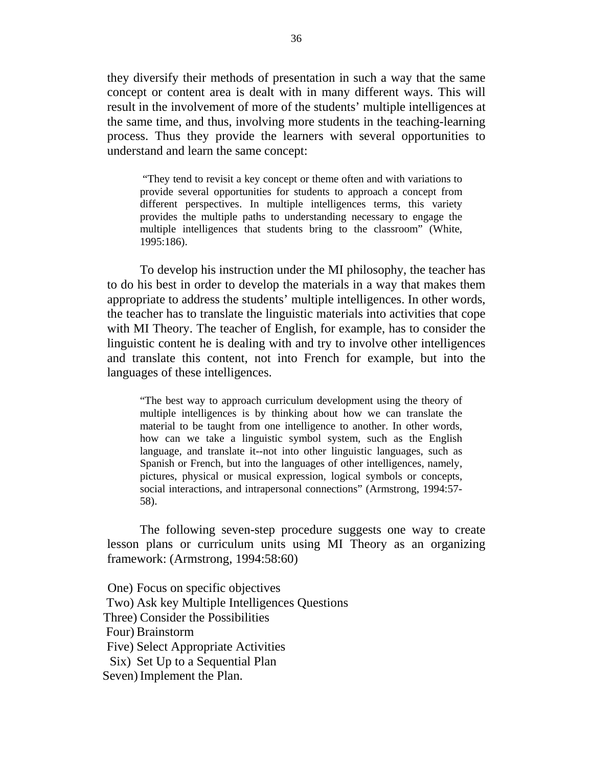they diversify their methods of presentation in such a way that the same concept or content area is dealt with in many different ways. This will result in the involvement of more of the students' multiple intelligences at the same time, and thus, involving more students in the teaching-learning process. Thus they provide the learners with several opportunities to understand and learn the same concept:

 "They tend to revisit a key concept or theme often and with variations to provide several opportunities for students to approach a concept from different perspectives. In multiple intelligences terms, this variety provides the multiple paths to understanding necessary to engage the multiple intelligences that students bring to the classroom" (White, 1995:186).

To develop his instruction under the MI philosophy, the teacher has to do his best in order to develop the materials in a way that makes them appropriate to address the students' multiple intelligences. In other words, the teacher has to translate the linguistic materials into activities that cope with MI Theory. The teacher of English, for example, has to consider the linguistic content he is dealing with and try to involve other intelligences and translate this content, not into French for example, but into the languages of these intelligences.

"The best way to approach curriculum development using the theory of multiple intelligences is by thinking about how we can translate the material to be taught from one intelligence to another. In other words, how can we take a linguistic symbol system, such as the English language, and translate it--not into other linguistic languages, such as Spanish or French, but into the languages of other intelligences, namely, pictures, physical or musical expression, logical symbols or concepts, social interactions, and intrapersonal connections" (Armstrong, 1994:57- 58).

The following seven-step procedure suggests one way to create lesson plans or curriculum units using MI Theory as an organizing framework: (Armstrong, 1994:58:60)

One) Focus on specific objectives Two) Ask key Multiple Intelligences Questions Three) Consider the Possibilities Four) Brainstorm Five) Select Appropriate Activities Six) Set Up to a Sequential Plan Seven) Implement the Plan.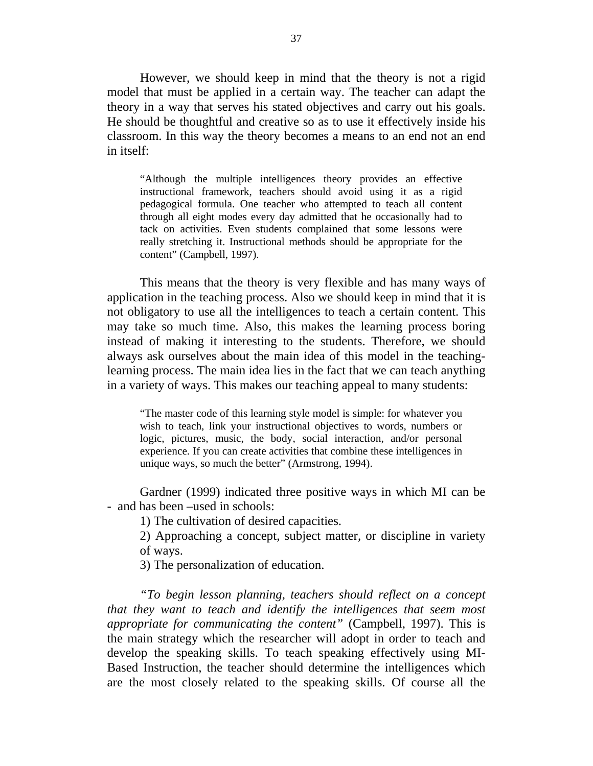However, we should keep in mind that the theory is not a rigid model that must be applied in a certain way. The teacher can adapt the theory in a way that serves his stated objectives and carry out his goals. He should be thoughtful and creative so as to use it effectively inside his classroom. In this way the theory becomes a means to an end not an end in itself:

"Although the multiple intelligences theory provides an effective instructional framework, teachers should avoid using it as a rigid pedagogical formula. One teacher who attempted to teach all content through all eight modes every day admitted that he occasionally had to tack on activities. Even students complained that some lessons were really stretching it. Instructional methods should be appropriate for the content" (Campbell, 1997).

This means that the theory is very flexible and has many ways of application in the teaching process. Also we should keep in mind that it is not obligatory to use all the intelligences to teach a certain content. This may take so much time. Also, this makes the learning process boring instead of making it interesting to the students. Therefore, we should always ask ourselves about the main idea of this model in the teachinglearning process. The main idea lies in the fact that we can teach anything in a variety of ways. This makes our teaching appeal to many students:

"The master code of this learning style model is simple: for whatever you wish to teach, link your instructional objectives to words, numbers or logic, pictures, music, the body, social interaction, and/or personal experience. If you can create activities that combine these intelligences in unique ways, so much the better" (Armstrong, 1994).

Gardner (1999) indicated three positive ways in which MI can be - and has been –used in schools:

1) The cultivation of desired capacities.

2) Approaching a concept, subject matter, or discipline in variety of ways.

3) The personalization of education.

*"To begin lesson planning, teachers should reflect on a concept that they want to teach and identify the intelligences that seem most appropriate for communicating the content"* (Campbell, 1997). This is the main strategy which the researcher will adopt in order to teach and develop the speaking skills. To teach speaking effectively using MI-Based Instruction, the teacher should determine the intelligences which are the most closely related to the speaking skills. Of course all the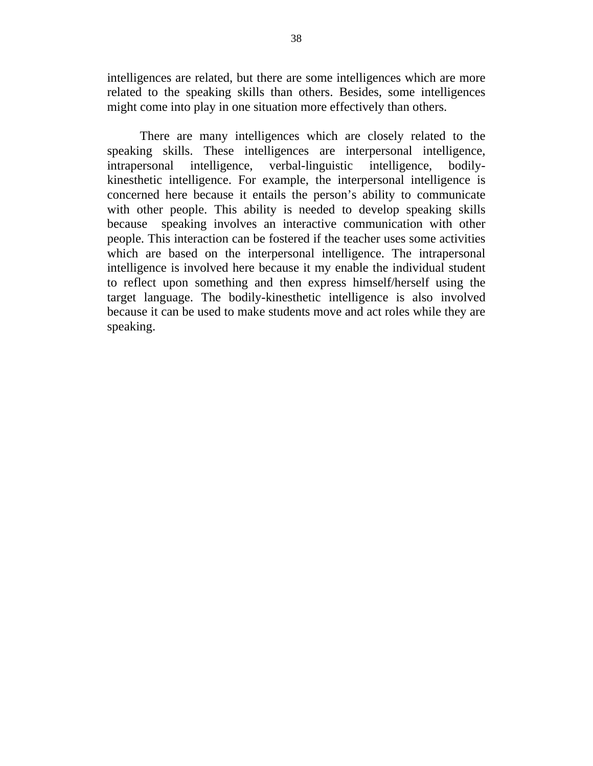intelligences are related, but there are some intelligences which are more related to the speaking skills than others. Besides, some intelligences might come into play in one situation more effectively than others.

There are many intelligences which are closely related to the speaking skills. These intelligences are interpersonal intelligence, intrapersonal intelligence, verbal-linguistic intelligence, bodilykinesthetic intelligence. For example, the interpersonal intelligence is concerned here because it entails the person's ability to communicate with other people. This ability is needed to develop speaking skills because speaking involves an interactive communication with other people. This interaction can be fostered if the teacher uses some activities which are based on the interpersonal intelligence. The intrapersonal intelligence is involved here because it my enable the individual student to reflect upon something and then express himself/herself using the target language. The bodily-kinesthetic intelligence is also involved because it can be used to make students move and act roles while they are speaking.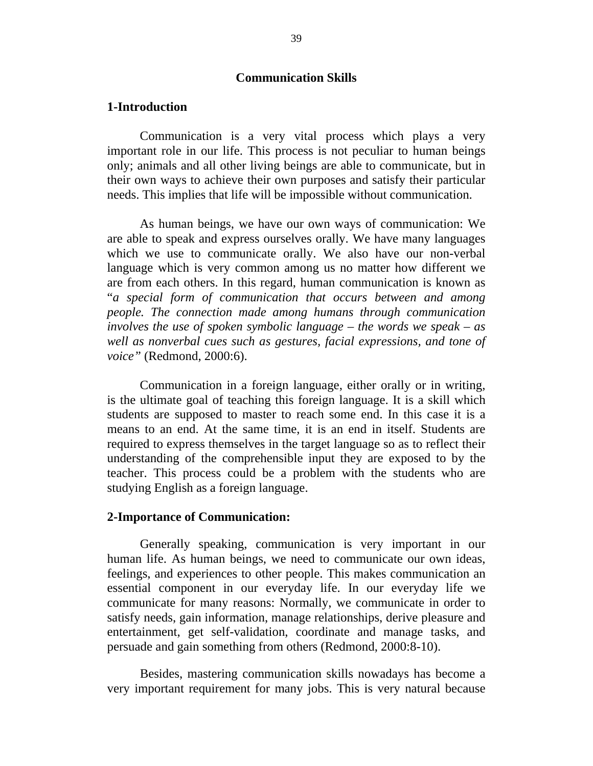## **Communication Skills**

#### **1-Introduction**

Communication is a very vital process which plays a very important role in our life. This process is not peculiar to human beings only; animals and all other living beings are able to communicate, but in their own ways to achieve their own purposes and satisfy their particular needs. This implies that life will be impossible without communication.

As human beings, we have our own ways of communication: We are able to speak and express ourselves orally. We have many languages which we use to communicate orally. We also have our non-verbal language which is very common among us no matter how different we are from each others. In this regard, human communication is known as "*a special form of communication that occurs between and among people. The connection made among humans through communication involves the use of spoken symbolic language – the words we speak – as well as nonverbal cues such as gestures, facial expressions, and tone of voice"* (Redmond, 2000:6).

Communication in a foreign language, either orally or in writing, is the ultimate goal of teaching this foreign language. It is a skill which students are supposed to master to reach some end. In this case it is a means to an end. At the same time, it is an end in itself. Students are required to express themselves in the target language so as to reflect their understanding of the comprehensible input they are exposed to by the teacher. This process could be a problem with the students who are studying English as a foreign language.

### **2-Importance of Communication:**

Generally speaking, communication is very important in our human life. As human beings, we need to communicate our own ideas, feelings, and experiences to other people. This makes communication an essential component in our everyday life. In our everyday life we communicate for many reasons: Normally, we communicate in order to satisfy needs, gain information, manage relationships, derive pleasure and entertainment, get self-validation, coordinate and manage tasks, and persuade and gain something from others (Redmond, 2000:8-10).

Besides, mastering communication skills nowadays has become a very important requirement for many jobs. This is very natural because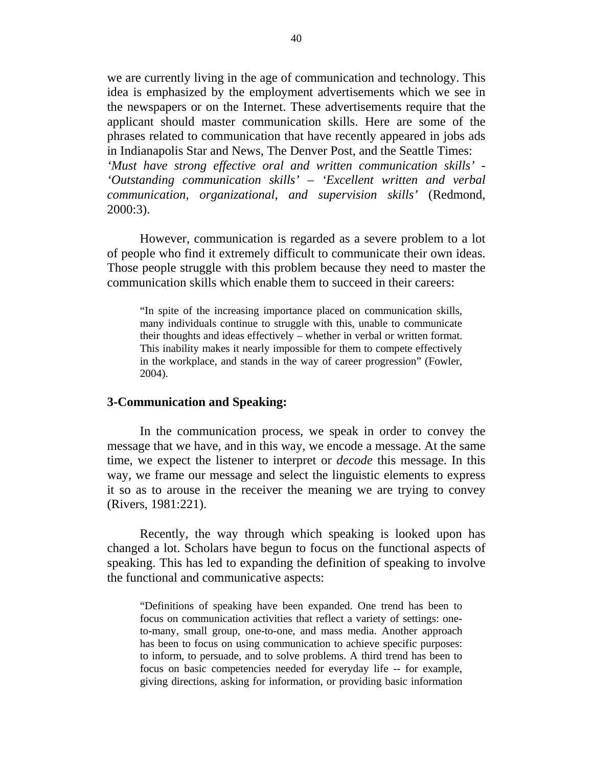we are currently living in the age of communication and technology. This idea is emphasized by the employment advertisements which we see in the newspapers or on the Internet. These advertisements require that the applicant should master communication skills. Here are some of the phrases related to communication that have recently appeared in jobs ads in Indianapolis Star and News, The Denver Post, and the Seattle Times:

*'Must have strong effective oral and written communication skills' - 'Outstanding communication skills' – 'Excellent written and verbal communication, organizational, and supervision skills'* (Redmond, 2000:3).

However, communication is regarded as a severe problem to a lot of people who find it extremely difficult to communicate their own ideas. Those people struggle with this problem because they need to master the communication skills which enable them to succeed in their careers:

"In spite of the increasing importance placed on communication skills, many individuals continue to struggle with this, unable to communicate their thoughts and ideas effectively – whether in verbal or written format. This inability makes it nearly impossible for them to compete effectively in the workplace, and stands in the way of career progression" (Fowler, 2004).

#### **3-Communication and Speaking:**

In the communication process, we speak in order to convey the message that we have, and in this way, we encode a message. At the same time, we expect the listener to interpret or *decode* this message. In this way, we frame our message and select the linguistic elements to express it so as to arouse in the receiver the meaning we are trying to convey (Rivers, 1981:221).

Recently, the way through which speaking is looked upon has changed a lot. Scholars have begun to focus on the functional aspects of speaking. This has led to expanding the definition of speaking to involve the functional and communicative aspects:

"Definitions of speaking have been expanded. One trend has been to focus on communication activities that reflect a variety of settings: oneto-many, small group, one-to-one, and mass media. Another approach has been to focus on using communication to achieve specific purposes: to inform, to persuade, and to solve problems. A third trend has been to focus on basic competencies needed for everyday life -- for example, giving directions, asking for information, or providing basic information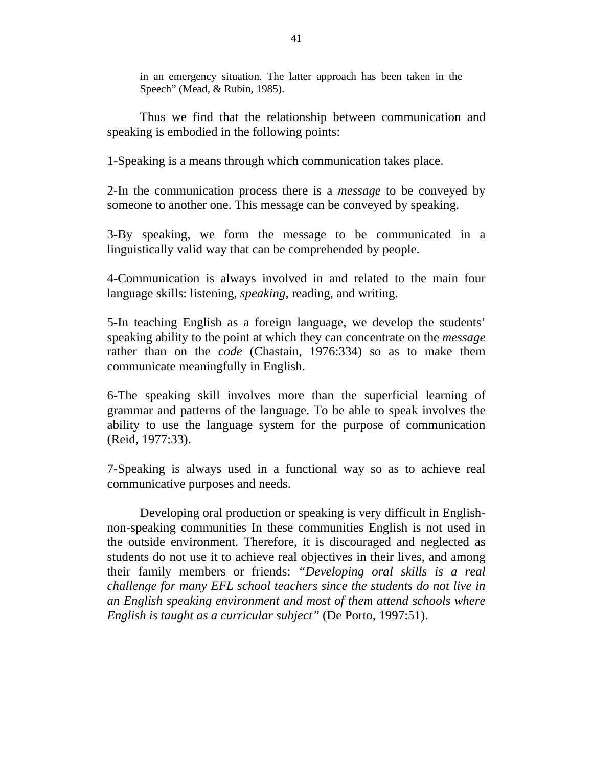in an emergency situation. The latter approach has been taken in the Speech" (Mead, & Rubin, 1985).

Thus we find that the relationship between communication and speaking is embodied in the following points:

1-Speaking is a means through which communication takes place.

2-In the communication process there is a *message* to be conveyed by someone to another one. This message can be conveyed by speaking.

3-By speaking, we form the message to be communicated in a linguistically valid way that can be comprehended by people.

4-Communication is always involved in and related to the main four language skills: listening, *speaking*, reading, and writing.

5-In teaching English as a foreign language, we develop the students' speaking ability to the point at which they can concentrate on the *message*  rather than on the *code* (Chastain, 1976:334) so as to make them communicate meaningfully in English.

6-The speaking skill involves more than the superficial learning of grammar and patterns of the language. To be able to speak involves the ability to use the language system for the purpose of communication (Reid, 1977:33).

7-Speaking is always used in a functional way so as to achieve real communicative purposes and needs.

Developing oral production or speaking is very difficult in Englishnon-speaking communities In these communities English is not used in the outside environment. Therefore, it is discouraged and neglected as students do not use it to achieve real objectives in their lives, and among their family members or friends: *"Developing oral skills is a real challenge for many EFL school teachers since the students do not live in an English speaking environment and most of them attend schools where English is taught as a curricular subject"* (De Porto, 1997:51).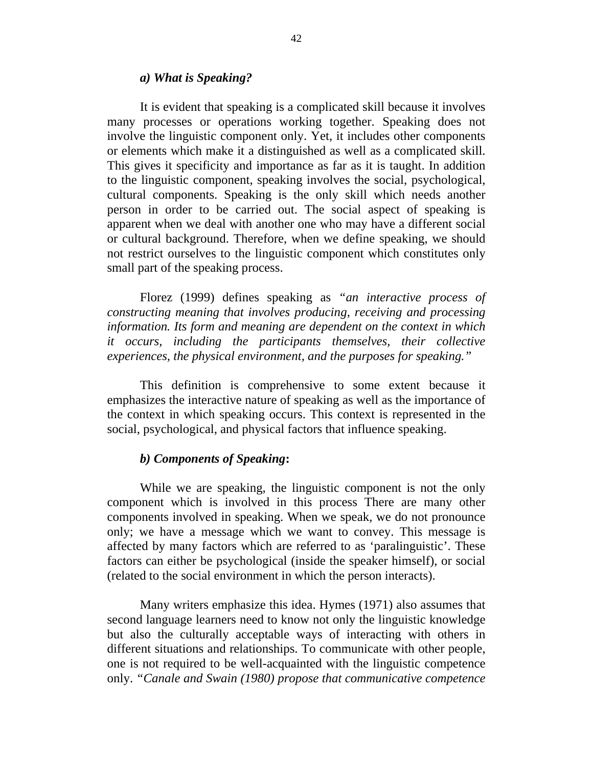#### *a) What is Speaking?*

It is evident that speaking is a complicated skill because it involves many processes or operations working together. Speaking does not involve the linguistic component only. Yet, it includes other components or elements which make it a distinguished as well as a complicated skill. This gives it specificity and importance as far as it is taught. In addition to the linguistic component, speaking involves the social, psychological, cultural components. Speaking is the only skill which needs another person in order to be carried out. The social aspect of speaking is apparent when we deal with another one who may have a different social or cultural background. Therefore, when we define speaking, we should not restrict ourselves to the linguistic component which constitutes only small part of the speaking process.

Florez (1999) defines speaking as *"an interactive process of constructing meaning that involves producing, receiving and processing information. Its form and meaning are dependent on the context in which it occurs, including the participants themselves, their collective experiences, the physical environment, and the purposes for speaking."*

This definition is comprehensive to some extent because it emphasizes the interactive nature of speaking as well as the importance of the context in which speaking occurs. This context is represented in the social, psychological, and physical factors that influence speaking.

### *b) Components of Speaking***:**

While we are speaking, the linguistic component is not the only component which is involved in this process There are many other components involved in speaking. When we speak, we do not pronounce only; we have a message which we want to convey. This message is affected by many factors which are referred to as 'paralinguistic'. These factors can either be psychological (inside the speaker himself), or social (related to the social environment in which the person interacts).

Many writers emphasize this idea. Hymes (1971) also assumes that second language learners need to know not only the linguistic knowledge but also the culturally acceptable ways of interacting with others in different situations and relationships. To communicate with other people, one is not required to be well-acquainted with the linguistic competence only. *"Canale and Swain (1980) propose that communicative competence*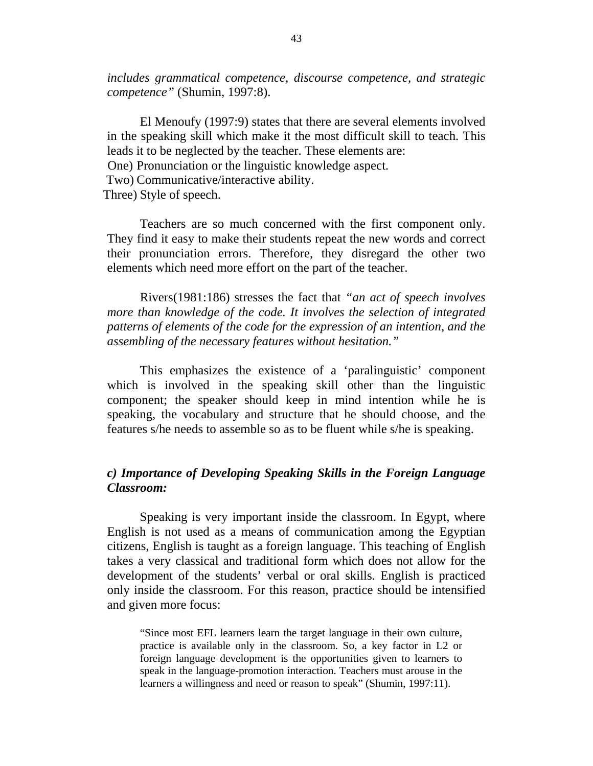*includes grammatical competence, discourse competence, and strategic competence"* (Shumin, 1997:8).

El Menoufy (1997:9) states that there are several elements involved in the speaking skill which make it the most difficult skill to teach. This leads it to be neglected by the teacher. These elements are: One) Pronunciation or the linguistic knowledge aspect. Two) Communicative/interactive ability.

Three) Style of speech.

Teachers are so much concerned with the first component only. They find it easy to make their students repeat the new words and correct their pronunciation errors. Therefore, they disregard the other two elements which need more effort on the part of the teacher.

Rivers(1981:186) stresses the fact that *"an act of speech involves more than knowledge of the code. It involves the selection of integrated patterns of elements of the code for the expression of an intention, and the assembling of the necessary features without hesitation."* 

This emphasizes the existence of a 'paralinguistic' component which is involved in the speaking skill other than the linguistic component; the speaker should keep in mind intention while he is speaking, the vocabulary and structure that he should choose, and the features s/he needs to assemble so as to be fluent while s/he is speaking.

## *c) Importance of Developing Speaking Skills in the Foreign Language Classroom:*

Speaking is very important inside the classroom. In Egypt, where English is not used as a means of communication among the Egyptian citizens, English is taught as a foreign language. This teaching of English takes a very classical and traditional form which does not allow for the development of the students' verbal or oral skills. English is practiced only inside the classroom. For this reason, practice should be intensified and given more focus:

"Since most EFL learners learn the target language in their own culture, practice is available only in the classroom. So, a key factor in L2 or foreign language development is the opportunities given to learners to speak in the language-promotion interaction. Teachers must arouse in the learners a willingness and need or reason to speak" (Shumin, 1997:11).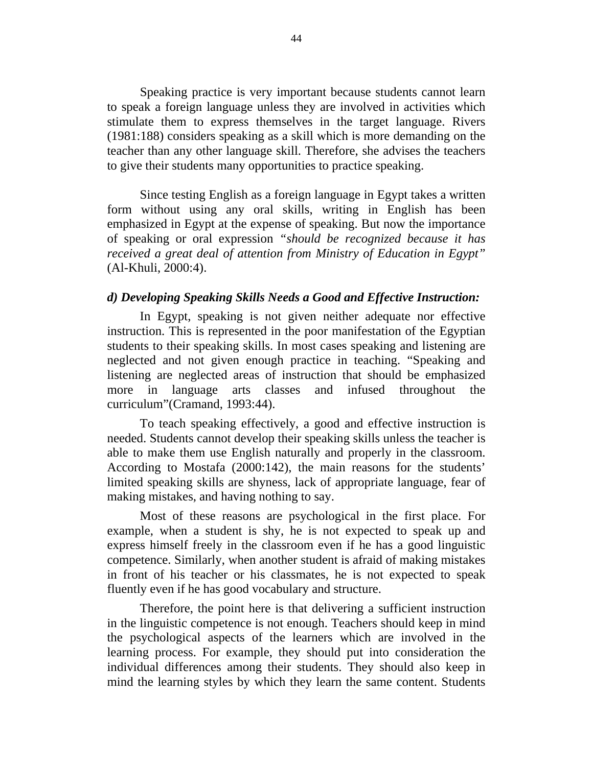Speaking practice is very important because students cannot learn to speak a foreign language unless they are involved in activities which stimulate them to express themselves in the target language. Rivers (1981:188) considers speaking as a skill which is more demanding on the teacher than any other language skill. Therefore, she advises the teachers to give their students many opportunities to practice speaking.

Since testing English as a foreign language in Egypt takes a written form without using any oral skills, writing in English has been emphasized in Egypt at the expense of speaking. But now the importance of speaking or oral expression *"should be recognized because it has received a great deal of attention from Ministry of Education in Egypt"* (Al-Khuli, 2000:4).

## *d) Developing Speaking Skills Needs a Good and Effective Instruction:*

In Egypt, speaking is not given neither adequate nor effective instruction. This is represented in the poor manifestation of the Egyptian students to their speaking skills. In most cases speaking and listening are neglected and not given enough practice in teaching. "Speaking and listening are neglected areas of instruction that should be emphasized more in language arts classes and infused throughout the curriculum"(Cramand, 1993:44).

To teach speaking effectively, a good and effective instruction is needed. Students cannot develop their speaking skills unless the teacher is able to make them use English naturally and properly in the classroom. According to Mostafa (2000:142), the main reasons for the students' limited speaking skills are shyness, lack of appropriate language, fear of making mistakes, and having nothing to say.

Most of these reasons are psychological in the first place. For example, when a student is shy, he is not expected to speak up and express himself freely in the classroom even if he has a good linguistic competence. Similarly, when another student is afraid of making mistakes in front of his teacher or his classmates, he is not expected to speak fluently even if he has good vocabulary and structure.

Therefore, the point here is that delivering a sufficient instruction in the linguistic competence is not enough. Teachers should keep in mind the psychological aspects of the learners which are involved in the learning process. For example, they should put into consideration the individual differences among their students. They should also keep in mind the learning styles by which they learn the same content. Students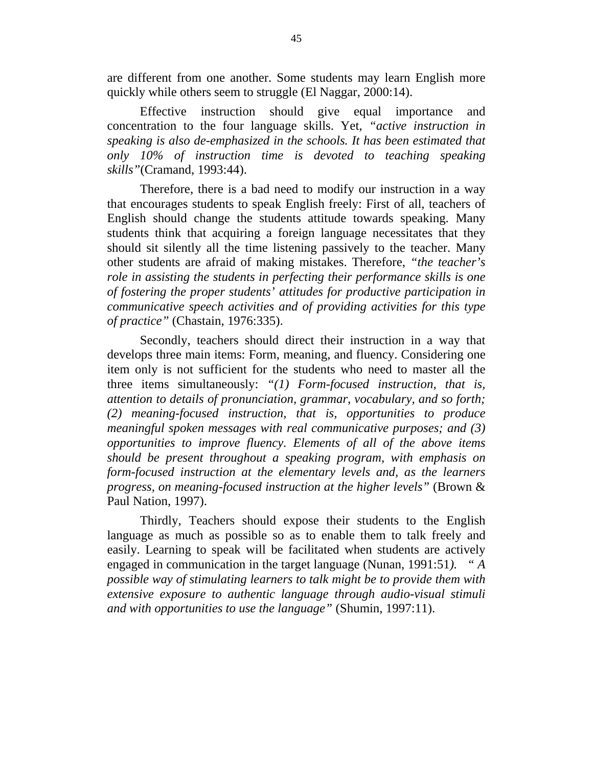are different from one another. Some students may learn English more quickly while others seem to struggle (El Naggar, 2000:14).

Effective instruction should give equal importance and concentration to the four language skills. Yet, *"active instruction in speaking is also de-emphasized in the schools. It has been estimated that only 10% of instruction time is devoted to teaching speaking skills"*(Cramand, 1993:44).

Therefore, there is a bad need to modify our instruction in a way that encourages students to speak English freely: First of all, teachers of English should change the students attitude towards speaking. Many students think that acquiring a foreign language necessitates that they should sit silently all the time listening passively to the teacher. Many other students are afraid of making mistakes. Therefore, *"the teacher's role in assisting the students in perfecting their performance skills is one of fostering the proper students' attitudes for productive participation in communicative speech activities and of providing activities for this type of practice"* (Chastain, 1976:335).

Secondly, teachers should direct their instruction in a way that develops three main items: Form, meaning, and fluency. Considering one item only is not sufficient for the students who need to master all the three items simultaneously: *"(1) Form-focused instruction, that is, attention to details of pronunciation, grammar, vocabulary, and so forth; (2) meaning-focused instruction, that is, opportunities to produce meaningful spoken messages with real communicative purposes; and (3) opportunities to improve fluency. Elements of all of the above items should be present throughout a speaking program, with emphasis on form-focused instruction at the elementary levels and, as the learners progress, on meaning-focused instruction at the higher levels"* (Brown & Paul Nation, 1997).

Thirdly, Teachers should expose their students to the English language as much as possible so as to enable them to talk freely and easily. Learning to speak will be facilitated when students are actively engaged in communication in the target language (Nunan, 1991:51*). " A possible way of stimulating learners to talk might be to provide them with extensive exposure to authentic language through audio-visual stimuli and with opportunities to use the language"* (Shumin, 1997:11).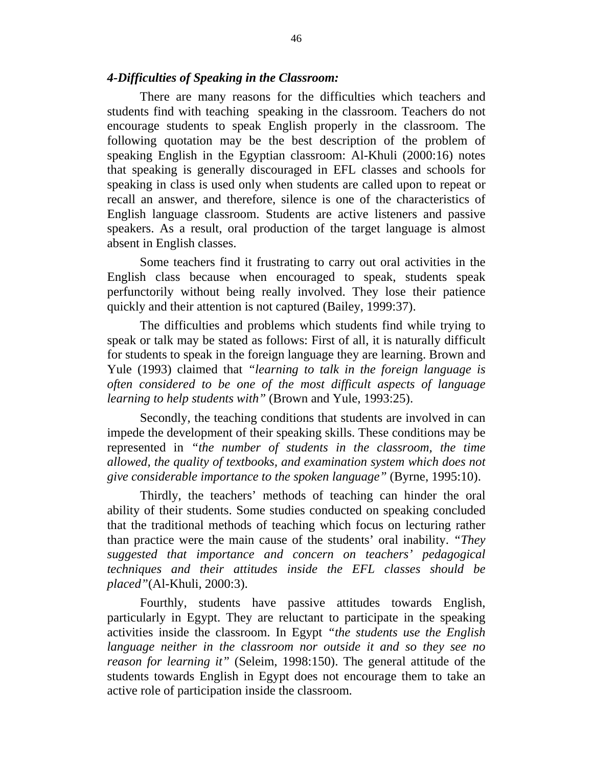### *4-Difficulties of Speaking in the Classroom:*

There are many reasons for the difficulties which teachers and students find with teaching speaking in the classroom. Teachers do not encourage students to speak English properly in the classroom. The following quotation may be the best description of the problem of speaking English in the Egyptian classroom: Al-Khuli (2000:16) notes that speaking is generally discouraged in EFL classes and schools for speaking in class is used only when students are called upon to repeat or recall an answer, and therefore, silence is one of the characteristics of English language classroom. Students are active listeners and passive speakers. As a result, oral production of the target language is almost absent in English classes.

Some teachers find it frustrating to carry out oral activities in the English class because when encouraged to speak, students speak perfunctorily without being really involved. They lose their patience quickly and their attention is not captured (Bailey, 1999:37).

The difficulties and problems which students find while trying to speak or talk may be stated as follows: First of all, it is naturally difficult for students to speak in the foreign language they are learning. Brown and Yule (1993) claimed that *"learning to talk in the foreign language is often considered to be one of the most difficult aspects of language learning to help students with"* (Brown and Yule, 1993:25).

Secondly, the teaching conditions that students are involved in can impede the development of their speaking skills. These conditions may be represented in *"the number of students in the classroom, the time allowed, the quality of textbooks, and examination system which does not give considerable importance to the spoken language"* (Byrne, 1995:10).

Thirdly, the teachers' methods of teaching can hinder the oral ability of their students. Some studies conducted on speaking concluded that the traditional methods of teaching which focus on lecturing rather than practice were the main cause of the students' oral inability. *"They suggested that importance and concern on teachers' pedagogical techniques and their attitudes inside the EFL classes should be placed"*(Al-Khuli, 2000:3).

Fourthly, students have passive attitudes towards English, particularly in Egypt. They are reluctant to participate in the speaking activities inside the classroom. In Egypt *"the students use the English language neither in the classroom nor outside it and so they see no reason for learning it"* (Seleim, 1998:150). The general attitude of the students towards English in Egypt does not encourage them to take an active role of participation inside the classroom.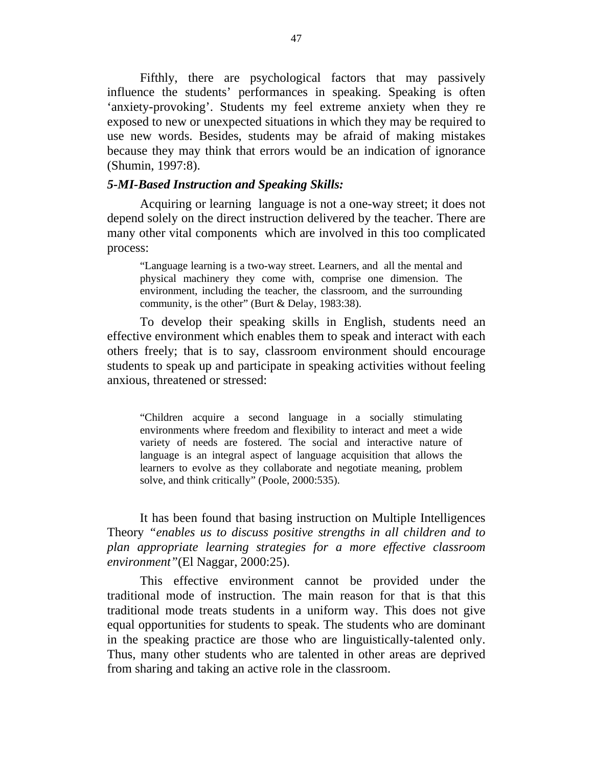Fifthly, there are psychological factors that may passively influence the students' performances in speaking. Speaking is often 'anxiety-provoking'. Students my feel extreme anxiety when they re exposed to new or unexpected situations in which they may be required to use new words. Besides, students may be afraid of making mistakes because they may think that errors would be an indication of ignorance (Shumin, 1997:8).

#### *5-MI-Based Instruction and Speaking Skills:*

Acquiring or learning language is not a one-way street; it does not depend solely on the direct instruction delivered by the teacher. There are many other vital components which are involved in this too complicated process:

"Language learning is a two-way street. Learners, and all the mental and physical machinery they come with, comprise one dimension. The environment, including the teacher, the classroom, and the surrounding community, is the other" (Burt & Delay, 1983:38).

To develop their speaking skills in English, students need an effective environment which enables them to speak and interact with each others freely; that is to say, classroom environment should encourage students to speak up and participate in speaking activities without feeling anxious, threatened or stressed:

"Children acquire a second language in a socially stimulating environments where freedom and flexibility to interact and meet a wide variety of needs are fostered. The social and interactive nature of language is an integral aspect of language acquisition that allows the learners to evolve as they collaborate and negotiate meaning, problem solve, and think critically" (Poole, 2000:535).

It has been found that basing instruction on Multiple Intelligences Theory *"enables us to discuss positive strengths in all children and to plan appropriate learning strategies for a more effective classroom environment"*(El Naggar, 2000:25).

This effective environment cannot be provided under the traditional mode of instruction. The main reason for that is that this traditional mode treats students in a uniform way. This does not give equal opportunities for students to speak. The students who are dominant in the speaking practice are those who are linguistically-talented only. Thus, many other students who are talented in other areas are deprived from sharing and taking an active role in the classroom.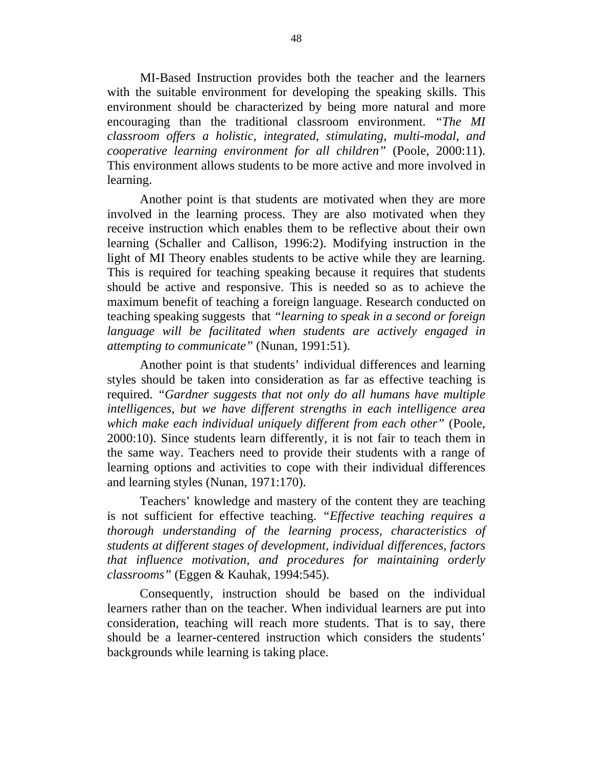MI-Based Instruction provides both the teacher and the learners with the suitable environment for developing the speaking skills. This environment should be characterized by being more natural and more encouraging than the traditional classroom environment. *"The MI classroom offers a holistic, integrated, stimulating, multi-modal, and cooperative learning environment for all children"* (Poole, 2000:11). This environment allows students to be more active and more involved in learning.

Another point is that students are motivated when they are more involved in the learning process. They are also motivated when they receive instruction which enables them to be reflective about their own learning (Schaller and Callison, 1996:2). Modifying instruction in the light of MI Theory enables students to be active while they are learning. This is required for teaching speaking because it requires that students should be active and responsive. This is needed so as to achieve the maximum benefit of teaching a foreign language. Research conducted on teaching speaking suggests that *"learning to speak in a second or foreign language will be facilitated when students are actively engaged in attempting to communicate"* (Nunan, 1991:51).

Another point is that students' individual differences and learning styles should be taken into consideration as far as effective teaching is required. *"Gardner suggests that not only do all humans have multiple intelligences, but we have different strengths in each intelligence area which make each individual uniquely different from each other"* (Poole, 2000:10). Since students learn differently, it is not fair to teach them in the same way. Teachers need to provide their students with a range of learning options and activities to cope with their individual differences and learning styles (Nunan, 1971:170).

 Teachers' knowledge and mastery of the content they are teaching is not sufficient for effective teaching. *"Effective teaching requires a thorough understanding of the learning process, characteristics of students at different stages of development, individual differences, factors that influence motivation, and procedures for maintaining orderly classrooms"* (Eggen & Kauhak, 1994:545).

 Consequently, instruction should be based on the individual learners rather than on the teacher. When individual learners are put into consideration, teaching will reach more students. That is to say, there should be a learner-centered instruction which considers the students' backgrounds while learning is taking place.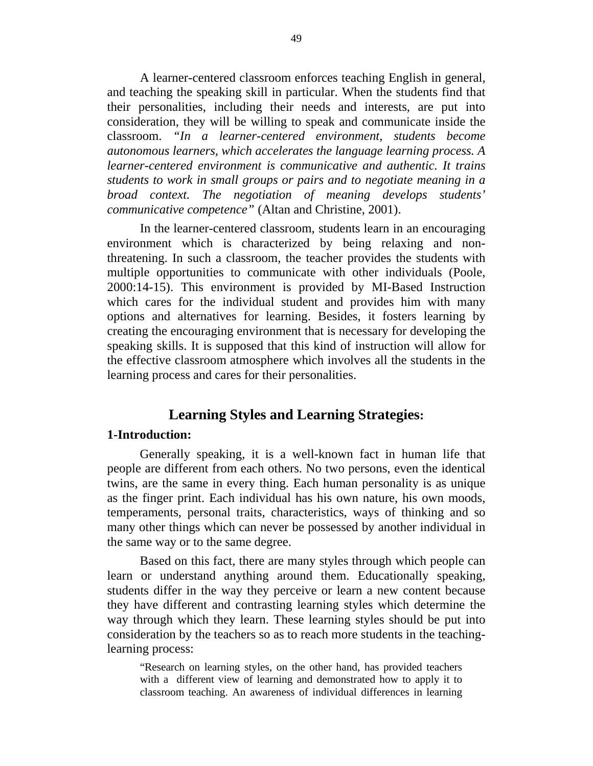A learner-centered classroom enforces teaching English in general, and teaching the speaking skill in particular. When the students find that their personalities, including their needs and interests, are put into consideration, they will be willing to speak and communicate inside the classroom. *"In a learner-centered environment, students become autonomous learners, which accelerates the language learning process. A learner-centered environment is communicative and authentic. It trains students to work in small groups or pairs and to negotiate meaning in a broad context. The negotiation of meaning develops students' communicative competence"* (Altan and Christine, 2001).

 In the learner-centered classroom, students learn in an encouraging environment which is characterized by being relaxing and nonthreatening. In such a classroom, the teacher provides the students with multiple opportunities to communicate with other individuals (Poole, 2000:14-15). This environment is provided by MI-Based Instruction which cares for the individual student and provides him with many options and alternatives for learning. Besides, it fosters learning by creating the encouraging environment that is necessary for developing the speaking skills. It is supposed that this kind of instruction will allow for the effective classroom atmosphere which involves all the students in the learning process and cares for their personalities.

## **Learning Styles and Learning Strategies:**

## **1-Introduction:**

Generally speaking, it is a well-known fact in human life that people are different from each others. No two persons, even the identical twins, are the same in every thing. Each human personality is as unique as the finger print. Each individual has his own nature, his own moods, temperaments, personal traits, characteristics, ways of thinking and so many other things which can never be possessed by another individual in the same way or to the same degree.

Based on this fact, there are many styles through which people can learn or understand anything around them. Educationally speaking, students differ in the way they perceive or learn a new content because they have different and contrasting learning styles which determine the way through which they learn. These learning styles should be put into consideration by the teachers so as to reach more students in the teachinglearning process:

"Research on learning styles, on the other hand, has provided teachers with a different view of learning and demonstrated how to apply it to classroom teaching. An awareness of individual differences in learning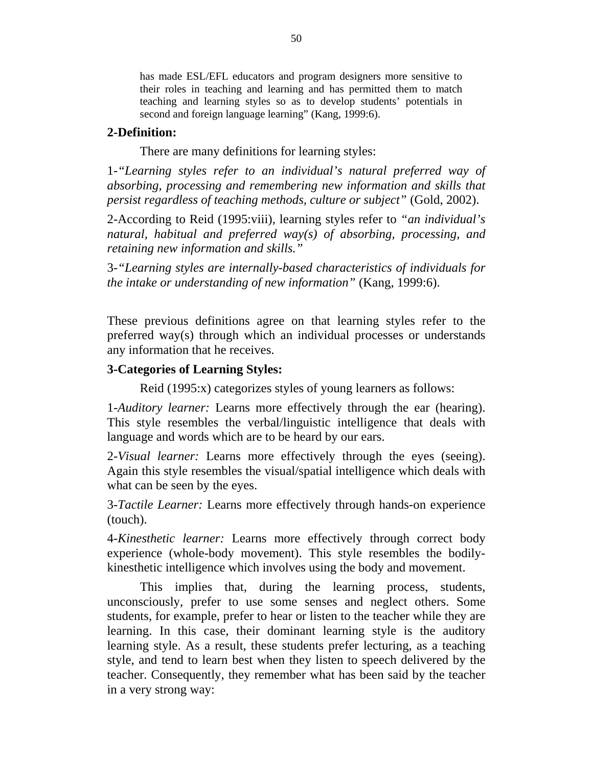has made ESL/EFL educators and program designers more sensitive to their roles in teaching and learning and has permitted them to match teaching and learning styles so as to develop students' potentials in second and foreign language learning" (Kang, 1999:6).

## **2-Definition:**

There are many definitions for learning styles:

1*-"Learning styles refer to an individual's natural preferred way of absorbing, processing and remembering new information and skills that persist regardless of teaching methods, culture or subject"* (Gold, 2002).

2-According to Reid (1995:viii), learning styles refer to *"an individual's natural, habitual and preferred way(s) of absorbing, processing, and retaining new information and skills."*

3*-"Learning styles are internally-based characteristics of individuals for the intake or understanding of new information"* (Kang, 1999:6).

These previous definitions agree on that learning styles refer to the preferred way(s) through which an individual processes or understands any information that he receives.

## **3-Categories of Learning Styles:**

Reid (1995:x) categorizes styles of young learners as follows:

1-*Auditory learner:* Learns more effectively through the ear (hearing). This style resembles the verbal/linguistic intelligence that deals with language and words which are to be heard by our ears.

2-*Visual learner:* Learns more effectively through the eyes (seeing). Again this style resembles the visual/spatial intelligence which deals with what can be seen by the eyes.

3-*Tactile Learner:* Learns more effectively through hands-on experience (touch).

4-*Kinesthetic learner:* Learns more effectively through correct body experience (whole-body movement). This style resembles the bodilykinesthetic intelligence which involves using the body and movement.

This implies that, during the learning process, students, unconsciously, prefer to use some senses and neglect others. Some students, for example, prefer to hear or listen to the teacher while they are learning. In this case, their dominant learning style is the auditory learning style. As a result, these students prefer lecturing, as a teaching style, and tend to learn best when they listen to speech delivered by the teacher. Consequently, they remember what has been said by the teacher in a very strong way: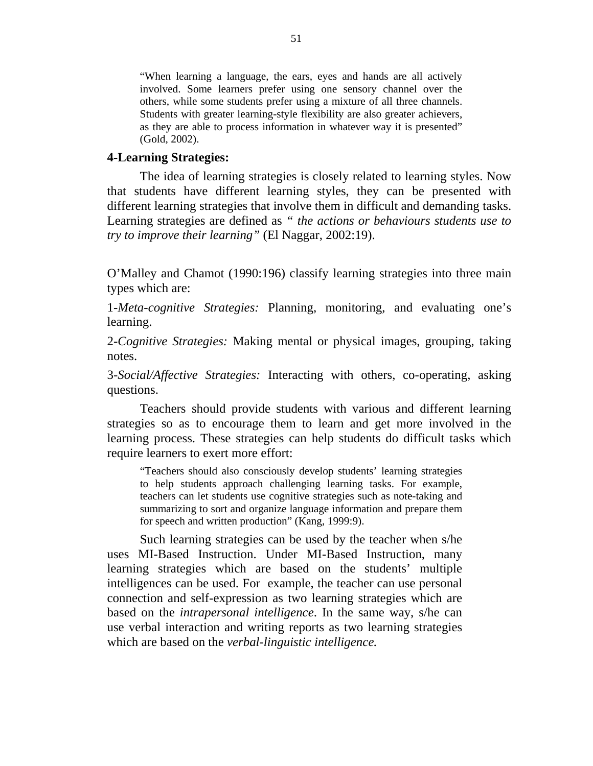"When learning a language, the ears, eyes and hands are all actively involved. Some learners prefer using one sensory channel over the others, while some students prefer using a mixture of all three channels. Students with greater learning-style flexibility are also greater achievers, as they are able to process information in whatever way it is presented" (Gold, 2002).

#### **4-Learning Strategies:**

The idea of learning strategies is closely related to learning styles. Now that students have different learning styles, they can be presented with different learning strategies that involve them in difficult and demanding tasks. Learning strategies are defined as *" the actions or behaviours students use to try to improve their learning"* (El Naggar, 2002:19).

O'Malley and Chamot (1990:196) classify learning strategies into three main types which are:

1-*Meta-cognitive Strategies:* Planning, monitoring, and evaluating one's learning.

2-*Cognitive Strategies:* Making mental or physical images, grouping, taking notes.

3-*Social/Affective Strategies:* Interacting with others, co-operating, asking questions.

Teachers should provide students with various and different learning strategies so as to encourage them to learn and get more involved in the learning process. These strategies can help students do difficult tasks which require learners to exert more effort:

"Teachers should also consciously develop students' learning strategies to help students approach challenging learning tasks. For example, teachers can let students use cognitive strategies such as note-taking and summarizing to sort and organize language information and prepare them for speech and written production" (Kang, 1999:9).

Such learning strategies can be used by the teacher when s/he uses MI-Based Instruction. Under MI-Based Instruction, many learning strategies which are based on the students' multiple intelligences can be used. For example, the teacher can use personal connection and self-expression as two learning strategies which are based on the *intrapersonal intelligence*. In the same way, s/he can use verbal interaction and writing reports as two learning strategies which are based on the *verbal-linguistic intelligence.*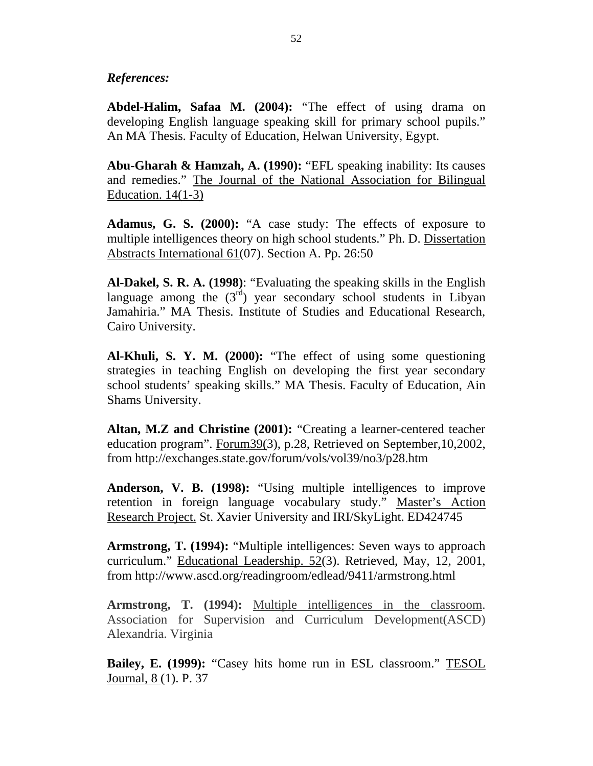## *References:*

**Abdel-Halim, Safaa M. (2004):** "The effect of using drama on developing English language speaking skill for primary school pupils." An MA Thesis. Faculty of Education, Helwan University, Egypt.

**Abu-Gharah & Hamzah, A. (1990):** "EFL speaking inability: Its causes and remedies." The Journal of the National Association for Bilingual Education.  $14(1-3)$ 

**Adamus, G. S. (2000):** "A case study: The effects of exposure to multiple intelligences theory on high school students." Ph. D. Dissertation Abstracts International 61(07). Section A. Pp. 26:50

**Al-Dakel, S. R. A. (1998)**: "Evaluating the speaking skills in the English language among the  $(3<sup>rd</sup>)$  year secondary school students in Libyan Jamahiria." MA Thesis. Institute of Studies and Educational Research, Cairo University.

**Al-Khuli, S. Y. M. (2000):** "The effect of using some questioning strategies in teaching English on developing the first year secondary school students' speaking skills." MA Thesis. Faculty of Education, Ain Shams University.

**Altan, M.Z and Christine (2001):** "Creating a learner-centered teacher education program". Forum39(3), p.28, Retrieved on September,10,2002, from http://exchanges.state.gov/forum/vols/vol39/no3/p28.htm

**Anderson, V. B. (1998):** "Using multiple intelligences to improve retention in foreign language vocabulary study." Master's Action Research Project. St. Xavier University and IRI/SkyLight. ED424745

**Armstrong, T. (1994):** "Multiple intelligences: Seven ways to approach curriculum." Educational Leadership. 52(3). Retrieved, May, 12, 2001, from http://www.ascd.org/readingroom/edlead/9411/armstrong.html

**Armstrong, T. (1994):** Multiple intelligences in the classroom. Association for Supervision and Curriculum Development(ASCD) Alexandria. Virginia

**Bailey, E. (1999):** "Casey hits home run in ESL classroom." TESOL Journal, 8 (1). P. 37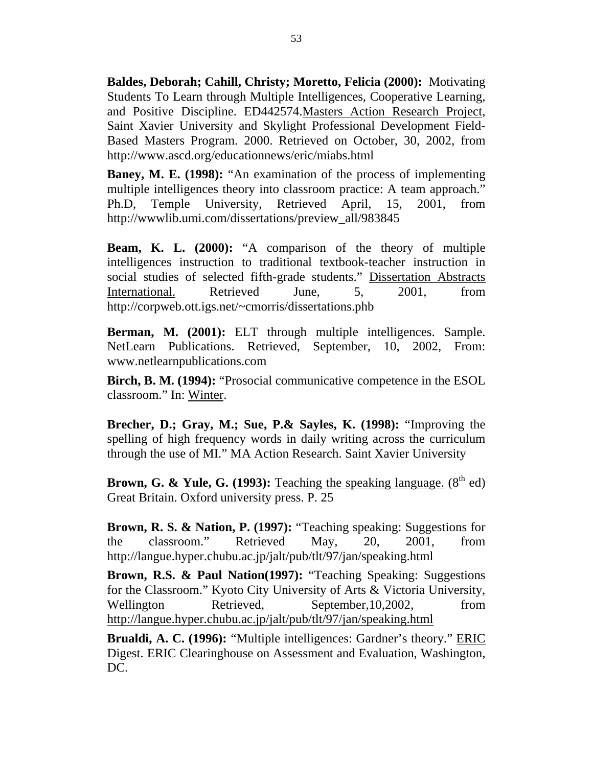**Baldes, Deborah; Cahill, Christy; Moretto, Felicia (2000):** Motivating Students To Learn through Multiple Intelligences, Cooperative Learning, and Positive Discipline. ED442574.Masters Action Research Project, Saint Xavier University and Skylight Professional Development Field-Based Masters Program. 2000. Retrieved on October, 30, 2002, from http://www.ascd.org/educationnews/eric/miabs.html

**Baney, M. E. (1998):** "An examination of the process of implementing multiple intelligences theory into classroom practice: A team approach." Ph.D, Temple University, Retrieved April, 15, 2001, from http://wwwlib.umi.com/dissertations/preview\_all/983845

**Beam, K. L. (2000):** "A comparison of the theory of multiple intelligences instruction to traditional textbook-teacher instruction in social studies of selected fifth-grade students." Dissertation Abstracts International. Retrieved June, 5, 2001, from http://corpweb.ott.igs.net/~cmorris/dissertations.phb

**Berman, M. (2001):** ELT through multiple intelligences. Sample. NetLearn Publications. Retrieved, September, 10, 2002, From: www.netlearnpublications.com

**Birch, B. M. (1994):** "Prosocial communicative competence in the ESOL classroom." In: Winter.

**Brecher, D.; Gray, M.; Sue, P.& Sayles, K. (1998):** "Improving the spelling of high frequency words in daily writing across the curriculum through the use of MI." MA Action Research. Saint Xavier University

**Brown, G. & Yule, G. (1993):** <u>Teaching the speaking language.</u> (8<sup>th</sup> ed) Great Britain. Oxford university press. P. 25

**Brown, R. S. & Nation, P. (1997):** "Teaching speaking: Suggestions for the classroom." Retrieved May, 20, 2001, from http://langue.hyper.chubu.ac.jp/jalt/pub/tlt/97/jan/speaking.html

**Brown, R.S. & Paul Nation(1997):** "Teaching Speaking: Suggestions for the Classroom." Kyoto City University of Arts & Victoria University, Wellington Retrieved, September,10,2002, from http://langue.hyper.chubu.ac.jp/jalt/pub/tlt/97/jan/speaking.html

**Brualdi, A. C. (1996):** "Multiple intelligences: Gardner's theory." ERIC Digest. ERIC Clearinghouse on Assessment and Evaluation, Washington, DC.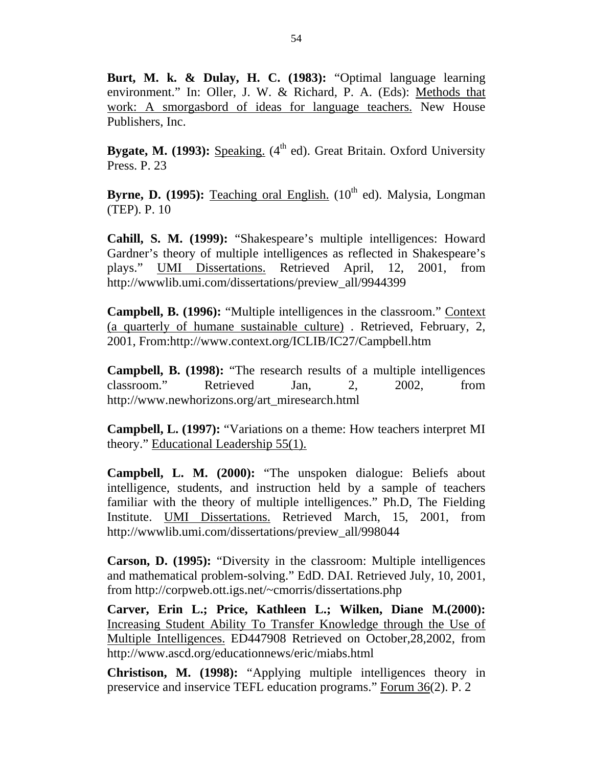**Burt, M. k. & Dulay, H. C. (1983):** "Optimal language learning environment." In: Oller, J. W. & Richard, P. A. (Eds): Methods that work: A smorgasbord of ideas for language teachers. New House Publishers, Inc.

**Bygate, M. (1993):** Speaking. (4<sup>th</sup> ed). Great Britain. Oxford University Press. P. 23

**Byrne, D. (1995):** Teaching oral English. (10<sup>th</sup> ed). Malysia, Longman (TEP). P. 10

**Cahill, S. M. (1999):** "Shakespeare's multiple intelligences: Howard Gardner's theory of multiple intelligences as reflected in Shakespeare's plays." UMI Dissertations. Retrieved April, 12, 2001, from http://wwwlib.umi.com/dissertations/preview\_all/9944399

**Campbell, B. (1996):** "Multiple intelligences in the classroom." Context (a quarterly of humane sustainable culture) . Retrieved, February, 2, 2001, From:http://www.context.org/ICLIB/IC27/Campbell.htm

**Campbell, B. (1998):** "The research results of a multiple intelligences classroom." Retrieved Jan, 2, 2002, from http://www.newhorizons.org/art\_miresearch.html

**Campbell, L. (1997):** "Variations on a theme: How teachers interpret MI theory." Educational Leadership 55(1).

**Campbell, L. M. (2000):** "The unspoken dialogue: Beliefs about intelligence, students, and instruction held by a sample of teachers familiar with the theory of multiple intelligences." Ph.D, The Fielding Institute. UMI Dissertations. Retrieved March, 15, 2001, from http://wwwlib.umi.com/dissertations/preview\_all/998044

**Carson, D. (1995):** "Diversity in the classroom: Multiple intelligences and mathematical problem-solving." EdD. DAI. Retrieved July, 10, 2001, from http://corpweb.ott.igs.net/~cmorris/dissertations.php

**Carver, Erin L.; Price, Kathleen L.; Wilken, Diane M.(2000):** Increasing Student Ability To Transfer Knowledge through the Use of Multiple Intelligences. ED447908 Retrieved on October,28,2002, from http://www.ascd.org/educationnews/eric/miabs.html

**Christison, M. (1998):** "Applying multiple intelligences theory in preservice and inservice TEFL education programs." Forum 36(2). P. 2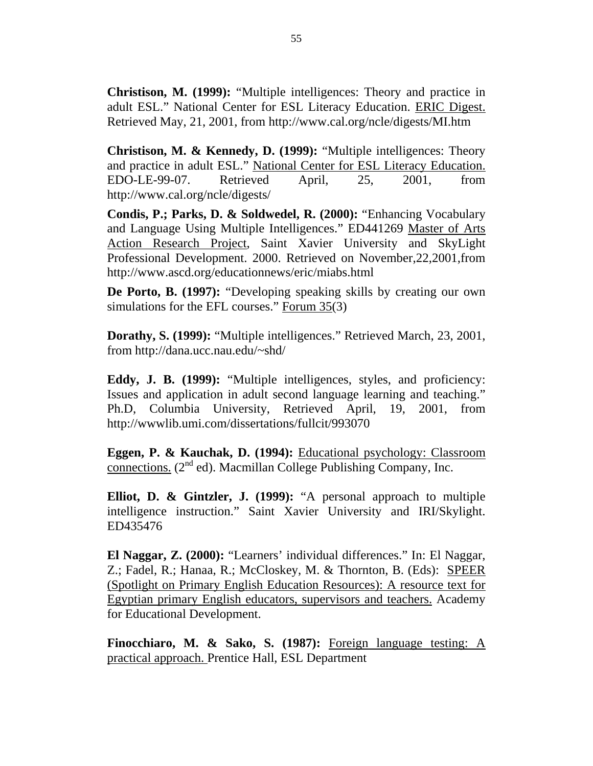**Christison, M. (1999):** "Multiple intelligences: Theory and practice in adult ESL." National Center for ESL Literacy Education. ERIC Digest. Retrieved May, 21, 2001, from http://www.cal.org/ncle/digests/MI.htm

**Christison, M. & Kennedy, D. (1999):** "Multiple intelligences: Theory and practice in adult ESL." National Center for ESL Literacy Education. EDO-LE-99-07. Retrieved April, 25, 2001, from http://www.cal.org/ncle/digests/

**Condis, P.; Parks, D. & Soldwedel, R. (2000):** "Enhancing Vocabulary and Language Using Multiple Intelligences." ED441269 Master of Arts Action Research Project, Saint Xavier University and SkyLight Professional Development. 2000. Retrieved on November,22,2001,from http://www.ascd.org/educationnews/eric/miabs.html

**De Porto, B. (1997):** "Developing speaking skills by creating our own simulations for the EFL courses." Forum 35(3)

**Dorathy, S. (1999):** "Multiple intelligences." Retrieved March, 23, 2001, from http://dana.ucc.nau.edu/~shd/

**Eddy, J. B. (1999):** "Multiple intelligences, styles, and proficiency: Issues and application in adult second language learning and teaching." Ph.D, Columbia University, Retrieved April, 19, 2001, from http://wwwlib.umi.com/dissertations/fullcit/993070

**Eggen, P. & Kauchak, D. (1994):** Educational psychology: Classroom connections. (2<sup>nd</sup> ed). Macmillan College Publishing Company, Inc.

**Elliot, D. & Gintzler, J. (1999):** "A personal approach to multiple intelligence instruction." Saint Xavier University and IRI/Skylight. ED435476

**El Naggar, Z. (2000):** "Learners' individual differences." In: El Naggar, Z.; Fadel, R.; Hanaa, R.; McCloskey, M. & Thornton, B. (Eds): SPEER (Spotlight on Primary English Education Resources): A resource text for Egyptian primary English educators, supervisors and teachers. Academy for Educational Development.

**Finocchiaro, M. & Sako, S. (1987):** Foreign language testing: A practical approach. Prentice Hall, ESL Department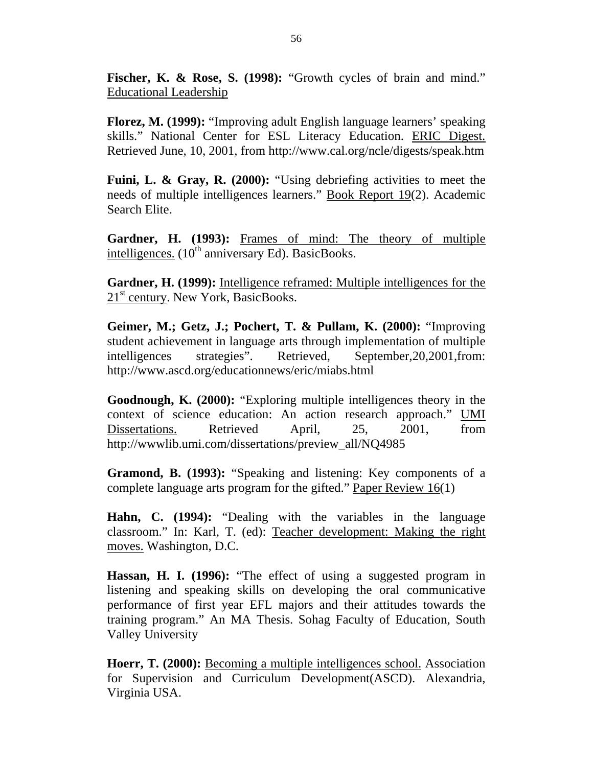**Fischer, K. & Rose, S. (1998):** "Growth cycles of brain and mind." Educational Leadership

**Florez, M. (1999):** "Improving adult English language learners' speaking skills." National Center for ESL Literacy Education. ERIC Digest. Retrieved June, 10, 2001, from http://www.cal.org/ncle/digests/speak.htm

**Fuini, L. & Gray, R. (2000):** "Using debriefing activities to meet the needs of multiple intelligences learners." Book Report 19(2). Academic Search Elite.

**Gardner, H. (1993):** Frames of mind: The theory of multiple intelligences.  $(10^{th}$  anniversary Ed). BasicBooks.

**Gardner, H. (1999):** Intelligence reframed: Multiple intelligences for the 21<sup>st</sup> century. New York, BasicBooks.

**Geimer, M.; Getz, J.; Pochert, T. & Pullam, K. (2000):** "Improving student achievement in language arts through implementation of multiple intelligences strategies". Retrieved, September,20,2001,from: http://www.ascd.org/educationnews/eric/miabs.html

**Goodnough, K. (2000):** "Exploring multiple intelligences theory in the context of science education: An action research approach." UMI Dissertations. Retrieved April, 25, 2001, from http://wwwlib.umi.com/dissertations/preview\_all/NQ4985

**Gramond, B. (1993):** "Speaking and listening: Key components of a complete language arts program for the gifted." Paper Review 16(1)

**Hahn, C. (1994):** "Dealing with the variables in the language classroom." In: Karl, T. (ed): Teacher development: Making the right moves. Washington, D.C.

**Hassan, H. I. (1996):** "The effect of using a suggested program in listening and speaking skills on developing the oral communicative performance of first year EFL majors and their attitudes towards the training program." An MA Thesis. Sohag Faculty of Education, South Valley University

**Hoerr, T. (2000):** Becoming a multiple intelligences school. Association for Supervision and Curriculum Development(ASCD). Alexandria, Virginia USA.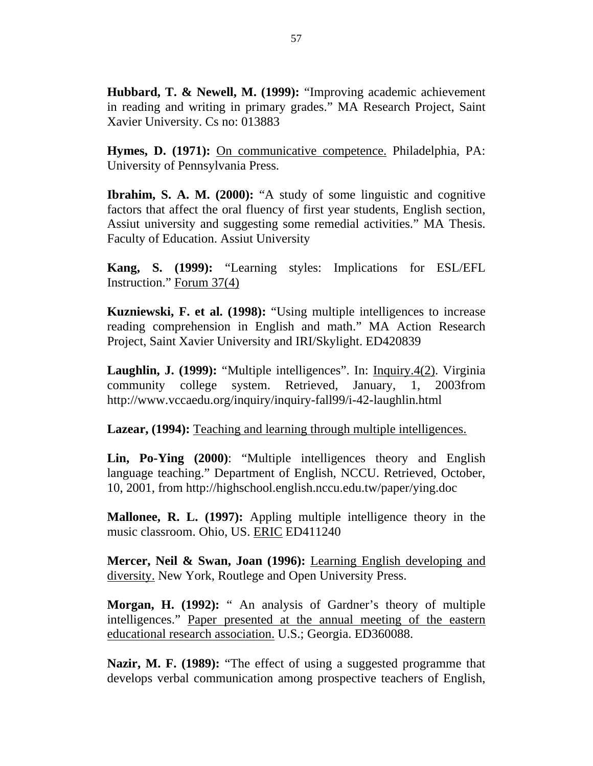**Hubbard, T. & Newell, M. (1999):** "Improving academic achievement in reading and writing in primary grades." MA Research Project, Saint Xavier University. Cs no: 013883

**Hymes, D. (1971):** On communicative competence. Philadelphia, PA: University of Pennsylvania Press.

**Ibrahim, S. A. M. (2000):** "A study of some linguistic and cognitive factors that affect the oral fluency of first year students, English section, Assiut university and suggesting some remedial activities." MA Thesis. Faculty of Education. Assiut University

**Kang, S. (1999):** "Learning styles: Implications for ESL/EFL Instruction." Forum 37(4)

**Kuzniewski, F. et al. (1998):** "Using multiple intelligences to increase reading comprehension in English and math." MA Action Research Project, Saint Xavier University and IRI/Skylight. ED420839

**Laughlin, J. (1999):** "Multiple intelligences". In: Inquiry.4(2). Virginia community college system. Retrieved, January, 1, 2003from http://www.vccaedu.org/inquiry/inquiry-fall99/i-42-laughlin.html

**Lazear, (1994):** Teaching and learning through multiple intelligences.

**Lin, Po-Ying (2000)**: "Multiple intelligences theory and English language teaching." Department of English, NCCU. Retrieved, October, 10, 2001, from http://highschool.english.nccu.edu.tw/paper/ying.doc

**Mallonee, R. L. (1997):** Appling multiple intelligence theory in the music classroom. Ohio, US. ERIC ED411240

**Mercer, Neil & Swan, Joan (1996):** Learning English developing and diversity. New York, Routlege and Open University Press.

**Morgan, H. (1992):** " An analysis of Gardner's theory of multiple intelligences." Paper presented at the annual meeting of the eastern educational research association. U.S.; Georgia. ED360088.

**Nazir, M. F. (1989):** "The effect of using a suggested programme that develops verbal communication among prospective teachers of English,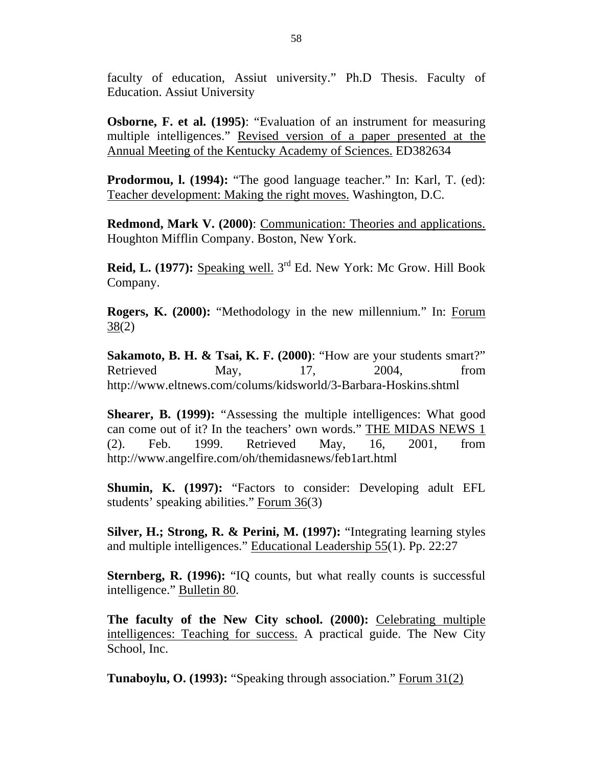faculty of education, Assiut university." Ph.D Thesis. Faculty of Education. Assiut University

**Osborne, F. et al. (1995)**: "Evaluation of an instrument for measuring multiple intelligences." Revised version of a paper presented at the Annual Meeting of the Kentucky Academy of Sciences. ED382634

**Prodormou, l. (1994):** "The good language teacher." In: Karl, T. (ed): Teacher development: Making the right moves. Washington, D.C.

**Redmond, Mark V. (2000)**: Communication: Theories and applications. Houghton Mifflin Company. Boston, New York.

**Reid, L. (1977):** Speaking well. 3<sup>rd</sup> Ed. New York: Mc Grow. Hill Book Company.

**Rogers, K. (2000):** "Methodology in the new millennium." In: Forum 38(2)

**Sakamoto, B. H. & Tsai, K. F. (2000)**: "How are your students smart?" Retrieved May, 17, 2004, from http://www.eltnews.com/colums/kidsworld/3-Barbara-Hoskins.shtml

**Shearer, B. (1999):** "Assessing the multiple intelligences: What good can come out of it? In the teachers' own words." THE MIDAS NEWS 1 (2). Feb. 1999. Retrieved May, 16, 2001, from http://www.angelfire.com/oh/themidasnews/feb1art.html

**Shumin, K. (1997):** "Factors to consider: Developing adult EFL students' speaking abilities." Forum 36(3)

**Silver, H.; Strong, R. & Perini, M. (1997):** "Integrating learning styles and multiple intelligences." Educational Leadership 55(1). Pp. 22:27

**Sternberg, R. (1996):** "IQ counts, but what really counts is successful intelligence." Bulletin 80.

The faculty of the New City school. (2000): Celebrating multiple intelligences: Teaching for success. A practical guide. The New City School, Inc.

**Tunaboylu, O. (1993):** "Speaking through association." Forum 31(2)